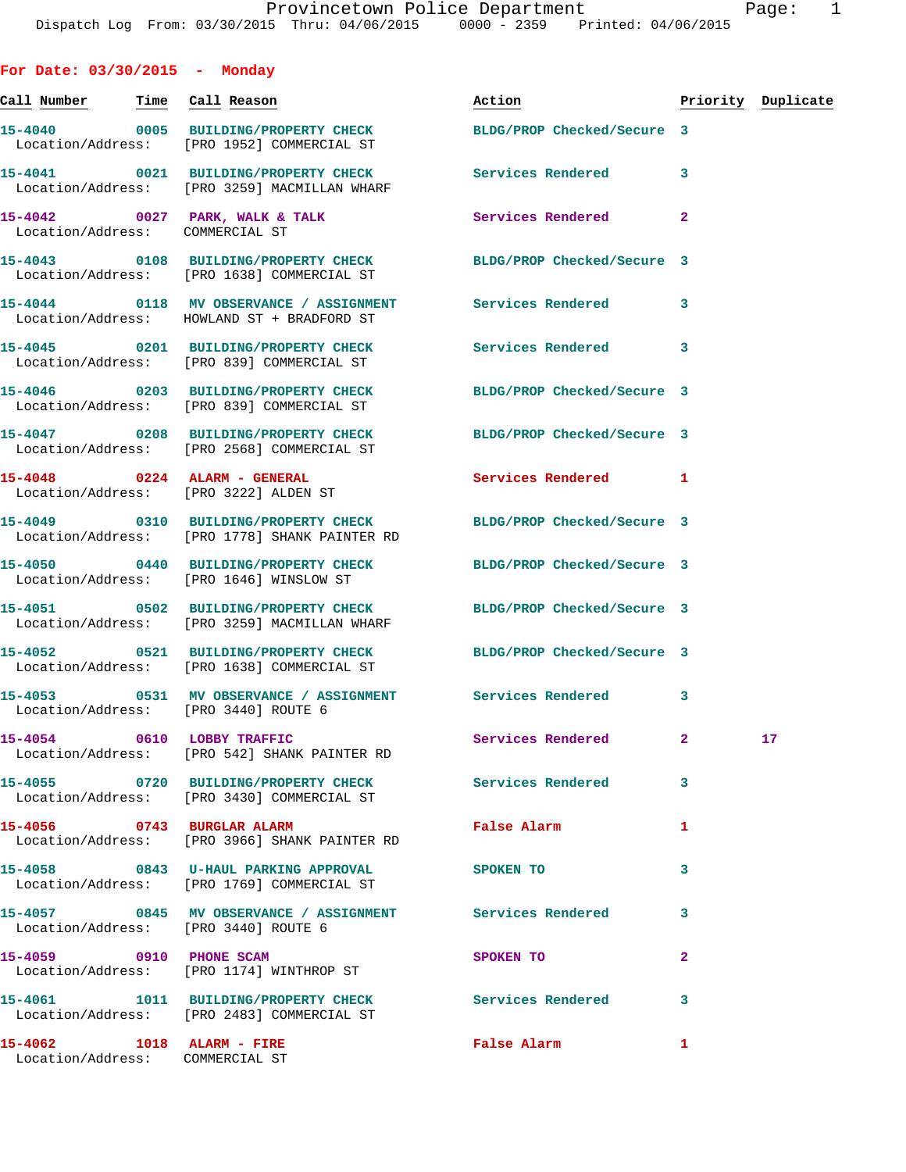**For Date: 03/30/2015 - Monday Call Number Time Call Reason Action Priority Duplicate 15-4040 0005 BUILDING/PROPERTY CHECK BLDG/PROP Checked/Secure 3**  Location/Address: [PRO 1952] COMMERCIAL ST **15-4041 0021 BUILDING/PROPERTY CHECK Services Rendered 3**  Location/Address: [PRO 3259] MACMILLAN WHARF 15-4042 0027 PARK, WALK & TALK **Services Rendered** 2 Location/Address: COMMERCIAL ST **15-4043 0108 BUILDING/PROPERTY CHECK BLDG/PROP Checked/Secure 3**  Location/Address: [PRO 1638] COMMERCIAL ST **15-4044 0118 MV OBSERVANCE / ASSIGNMENT Services Rendered 3**  Location/Address: HOWLAND ST + BRADFORD ST **15-4045 0201 BUILDING/PROPERTY CHECK Services Rendered 3**  Location/Address: [PRO 839] COMMERCIAL ST **15-4046 0203 BUILDING/PROPERTY CHECK BLDG/PROP Checked/Secure 3**  Location/Address: [PRO 839] COMMERCIAL ST **15-4047 0208 BUILDING/PROPERTY CHECK BLDG/PROP Checked/Secure 3**  Location/Address: [PRO 2568] COMMERCIAL ST **15-4048 0224 ALARM - GENERAL Services Rendered 1**  Location/Address: [PRO 3222] ALDEN ST **15-4049 0310 BUILDING/PROPERTY CHECK BLDG/PROP Checked/Secure 3**  Location/Address: [PRO 1778] SHANK PAINTER RD **15-4050 0440 BUILDING/PROPERTY CHECK BLDG/PROP Checked/Secure 3**  Location/Address: [PRO 1646] WINSLOW ST **15-4051 0502 BUILDING/PROPERTY CHECK BLDG/PROP Checked/Secure 3**  Location/Address: [PRO 3259] MACMILLAN WHARF **15-4052 0521 BUILDING/PROPERTY CHECK BLDG/PROP Checked/Secure 3**  Location/Address: [PRO 1638] COMMERCIAL ST **15-4053 0531 MV OBSERVANCE / ASSIGNMENT Services Rendered 3**  Location/Address: [PRO 3440] ROUTE 6 **15-4054 0610 LOBBY TRAFFIC Services Rendered 2 17**  Location/Address: [PRO 542] SHANK PAINTER RD **15-4055 0720 BUILDING/PROPERTY CHECK Services Rendered 3**  Location/Address: [PRO 3430] COMMERCIAL ST **15-4056 0743 BURGLAR ALARM False Alarm 1**  Location/Address: [PRO 3966] SHANK PAINTER RD **15-4058 0843 U-HAUL PARKING APPROVAL SPOKEN TO 3**  Location/Address: [PRO 1769] COMMERCIAL ST **15-4057 0845 MV OBSERVANCE / ASSIGNMENT Services Rendered 3**  Location/Address: [PRO 3440] ROUTE 6 **15-4059 0910 PHONE SCAM SPOKEN TO 2**  Location/Address: [PRO 1174] WINTHROP ST **15-4061 1011 BUILDING/PROPERTY CHECK Services Rendered 3**  Location/Address: [PRO 2483] COMMERCIAL ST

**15-4062 1018 ALARM - FIRE False Alarm 1**  Location/Address: COMMERCIAL ST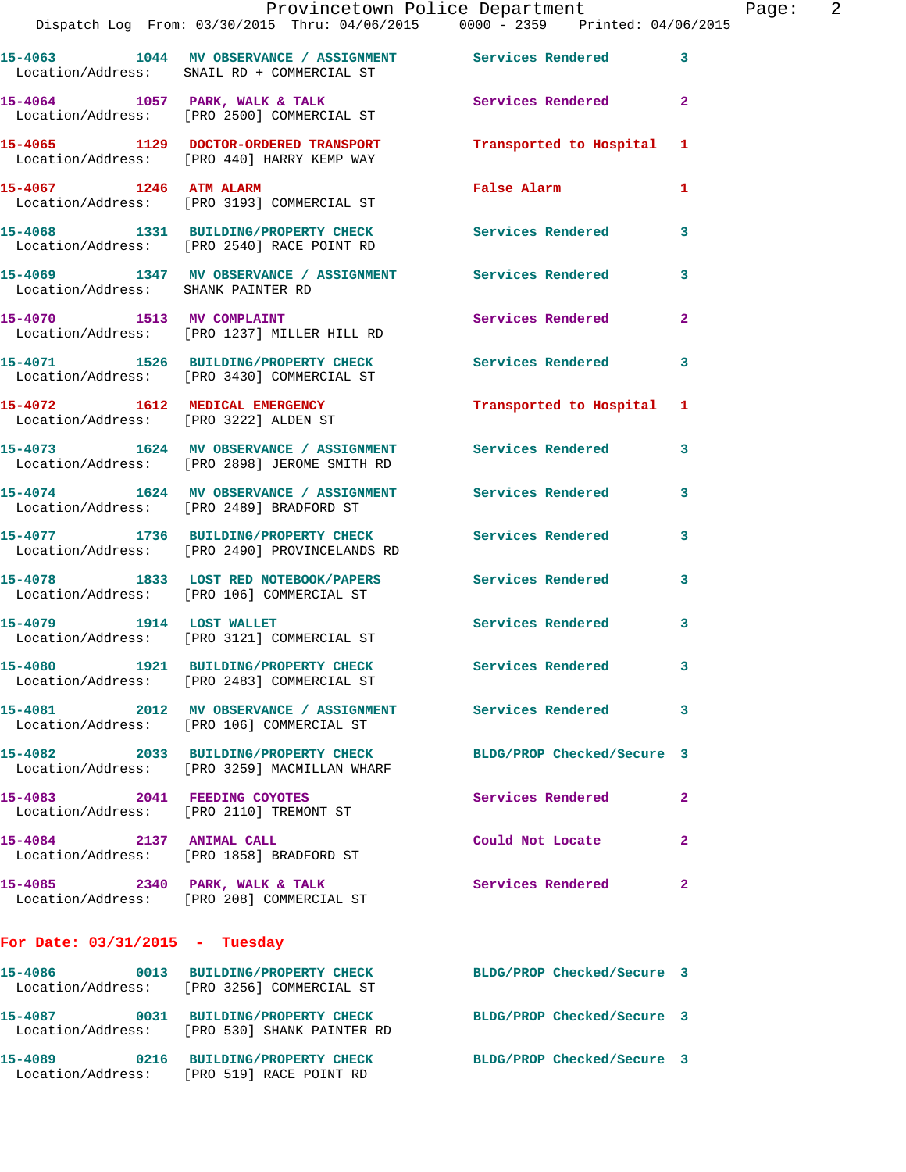|                                                                         | Provincetown Police Department<br>Dispatch Log From: 03/30/2015 Thru: 04/06/2015 0000 - 2359 Printed: 04/06/2015 |                            |                |
|-------------------------------------------------------------------------|------------------------------------------------------------------------------------------------------------------|----------------------------|----------------|
|                                                                         | 15-4063 1044 MV OBSERVANCE / ASSIGNMENT Services Rendered<br>Location/Address: SNAIL RD + COMMERCIAL ST          |                            | 3              |
|                                                                         | 15-4064 1057 PARK, WALK & TALK<br>Location/Address: [PRO 2500] COMMERCIAL ST                                     | <b>Services Rendered</b>   | $\mathbf{2}$   |
|                                                                         | 15-4065 1129 DOCTOR-ORDERED TRANSPORT<br>Location/Address: [PRO 440] HARRY KEMP WAY                              | Transported to Hospital    | 1              |
| 15-4067 1246 ATM ALARM                                                  | Location/Address: [PRO 3193] COMMERCIAL ST                                                                       | False Alarm                | 1              |
|                                                                         | 15-4068 1331 BUILDING/PROPERTY CHECK<br>Location/Address: [PRO 2540] RACE POINT RD                               | <b>Services Rendered</b>   | 3              |
| Location/Address: SHANK PAINTER RD                                      | 15-4069 1347 MV OBSERVANCE / ASSIGNMENT Services Rendered                                                        |                            | 3              |
| 15-4070 1513 MV COMPLAINT                                               | Location/Address: [PRO 1237] MILLER HILL RD                                                                      | <b>Services Rendered</b>   | $\overline{a}$ |
|                                                                         | 15-4071 1526 BUILDING/PROPERTY CHECK Services Rendered<br>Location/Address: [PRO 3430] COMMERCIAL ST             |                            | 3              |
| 15-4072 1612 MEDICAL EMERGENCY                                          | Location/Address: [PRO 3222] ALDEN ST                                                                            | Transported to Hospital    | 1              |
|                                                                         | 15-4073 1624 MV OBSERVANCE / ASSIGNMENT Services Rendered<br>Location/Address: [PRO 2898] JEROME SMITH RD        |                            | 3              |
|                                                                         | 15-4074 1624 MV OBSERVANCE / ASSIGNMENT Services Rendered<br>Location/Address: [PRO 2489] BRADFORD ST            |                            | 3              |
|                                                                         | 15-4077 1736 BUILDING/PROPERTY CHECK<br>Location/Address: [PRO 2490] PROVINCELANDS RD                            | <b>Services Rendered</b>   | 3              |
|                                                                         | 15-4078 1833 LOST RED NOTEBOOK/PAPERS<br>Location/Address: [PRO 106] COMMERCIAL ST                               | Services Rendered          | 3              |
|                                                                         | 15-4079 1914 LOST WALLET<br>Location/Address: [PRO 3121] COMMERCIAL ST                                           | <b>Services Rendered</b>   | 3              |
|                                                                         | 15-4080 1921 BUILDING/PROPERTY CHECK<br>Location/Address: [PRO 2483] COMMERCIAL ST                               | <b>Services Rendered</b>   |                |
|                                                                         | 15-4081 2012 MV OBSERVANCE / ASSIGNMENT Services Rendered<br>Location/Address: [PRO 106] COMMERCIAL ST           |                            | 3              |
|                                                                         | 15-4082 2033 BUILDING/PROPERTY CHECK<br>Location/Address: [PRO 3259] MACMILLAN WHARF                             | BLDG/PROP Checked/Secure 3 |                |
| 15-4083 2041 FEEDING COYOTES<br>Location/Address: [PRO 2110] TREMONT ST |                                                                                                                  | Services Rendered          | $\mathbf{2}$   |
| 15-4084 2137 ANIMAL CALL                                                | Location/Address: [PRO 1858] BRADFORD ST                                                                         | Could Not Locate           | $\mathbf{2}$   |
|                                                                         | 15-4085 2340 PARK, WALK & TALK<br>Location/Address: [PRO 208] COMMERCIAL ST                                      | Services Rendered          | 2              |
| For Date: $03/31/2015$ - Tuesday                                        |                                                                                                                  |                            |                |
|                                                                         | 15-4086 0013 BUILDING/PROPERTY CHECK BLDG/PROP Checked/Secure 3<br>Location/Address: [PRO 3256] COMMERCIAL ST    |                            |                |
| 15-4087                                                                 | 0031 BUILDING/PROPERTY CHECK BLDG/PROP Checked/Secure 3                                                          |                            |                |

 Location/Address: [PRO 530] SHANK PAINTER RD **15-4089 0216 BUILDING/PROPERTY CHECK BLDG/PROP Checked/Secure 3**  Location/Address: [PRO 519] RACE POINT RD

Page: 2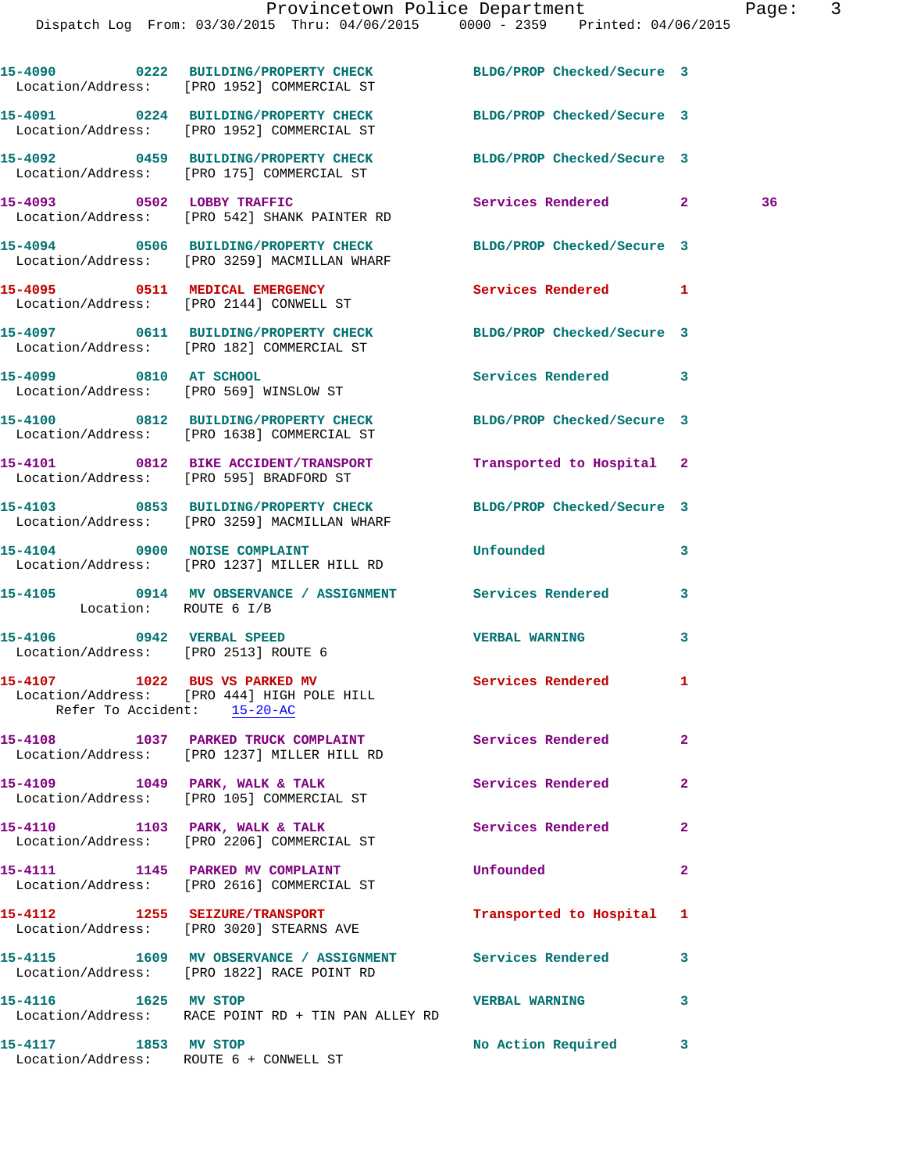|                                                                   | 15-4090 0222 BUILDING/PROPERTY CHECK<br>Location/Address: [PRO 1952] COMMERCIAL ST                      | BLDG/PROP Checked/Secure 3 |                |    |
|-------------------------------------------------------------------|---------------------------------------------------------------------------------------------------------|----------------------------|----------------|----|
|                                                                   | 15-4091 0224 BUILDING/PROPERTY CHECK<br>Location/Address: [PRO 1952] COMMERCIAL ST                      | BLDG/PROP Checked/Secure 3 |                |    |
|                                                                   | 15-4092 0459 BUILDING/PROPERTY CHECK<br>Location/Address: [PRO 175] COMMERCIAL ST                       | BLDG/PROP Checked/Secure 3 |                |    |
| 15-4093 0502 LOBBY TRAFFIC                                        | Location/Address: [PRO 542] SHANK PAINTER RD                                                            | Services Rendered 2        |                | 36 |
|                                                                   | 15-4094 0506 BUILDING/PROPERTY CHECK<br>Location/Address: [PRO 3259] MACMILLAN WHARF                    | BLDG/PROP Checked/Secure 3 |                |    |
|                                                                   | 15-4095 0511 MEDICAL EMERGENCY<br>Location/Address: [PRO 2144] CONWELL ST                               | <b>Services Rendered</b>   | 1              |    |
|                                                                   | 15-4097 0611 BUILDING/PROPERTY CHECK<br>Location/Address: [PRO 182] COMMERCIAL ST                       | BLDG/PROP Checked/Secure 3 |                |    |
| 15-4099 0810 AT SCHOOL                                            | Location/Address: [PRO 569] WINSLOW ST                                                                  | Services Rendered          | 3              |    |
|                                                                   | 15-4100 0812 BUILDING/PROPERTY CHECK<br>Location/Address: [PRO 1638] COMMERCIAL ST                      | BLDG/PROP Checked/Secure 3 |                |    |
|                                                                   | 15-4101 0812 BIKE ACCIDENT/TRANSPORT<br>Location/Address: [PRO 595] BRADFORD ST                         | Transported to Hospital 2  |                |    |
|                                                                   | 15-4103 0853 BUILDING/PROPERTY CHECK<br>Location/Address: [PRO 3259] MACMILLAN WHARF                    | BLDG/PROP Checked/Secure 3 |                |    |
|                                                                   | 15-4104 0900 NOISE COMPLAINT<br>Location/Address: [PRO 1237] MILLER HILL RD                             | Unfounded                  | 3              |    |
| Location: ROUTE 6 I/B                                             | 15-4105 0914 MV OBSERVANCE / ASSIGNMENT Services Rendered                                               |                            | 3              |    |
| 15-4106 0942 VERBAL SPEED<br>Location/Address: [PRO 2513] ROUTE 6 |                                                                                                         | <b>VERBAL WARNING</b>      | 3              |    |
| 15-4107 1022 BUS VS PARKED MV<br>Refer To Accident: 15-20-AC      | Location/Address: [PRO 444] HIGH POLE HILL                                                              | Services Rendered          | 1              |    |
|                                                                   | 15-4108 1037 PARKED TRUCK COMPLAINT<br>Location/Address: [PRO 1237] MILLER HILL RD                      | <b>Services Rendered</b>   | $\mathbf{2}$   |    |
|                                                                   | 15-4109 1049 PARK, WALK & TALK<br>Location/Address: [PRO 105] COMMERCIAL ST                             | Services Rendered          | $\overline{2}$ |    |
|                                                                   | 15-4110 1103 PARK, WALK & TALK<br>Location/Address: [PRO 2206] COMMERCIAL ST                            | <b>Services Rendered</b>   | $\mathbf{2}$   |    |
|                                                                   | 15-4111 1145 PARKED MV COMPLAINT<br>Location/Address: [PRO 2616] COMMERCIAL ST                          | Unfounded                  | $\mathbf{2}$   |    |
|                                                                   | 15-4112 1255 SEIZURE/TRANSPORT<br>Location/Address: [PRO 3020] STEARNS AVE                              | Transported to Hospital    | 1              |    |
|                                                                   | 15-4115 1609 MV OBSERVANCE / ASSIGNMENT Services Rendered<br>Location/Address: [PRO 1822] RACE POINT RD |                            | 3              |    |
| 15-4116 1625 MV STOP                                              | Location/Address: RACE POINT RD + TIN PAN ALLEY RD                                                      | <b>VERBAL WARNING</b>      | 3              |    |
| 15-4117 1853 MV STOP                                              | Location/Address: ROUTE 6 + CONWELL ST                                                                  | No Action Required 3       |                |    |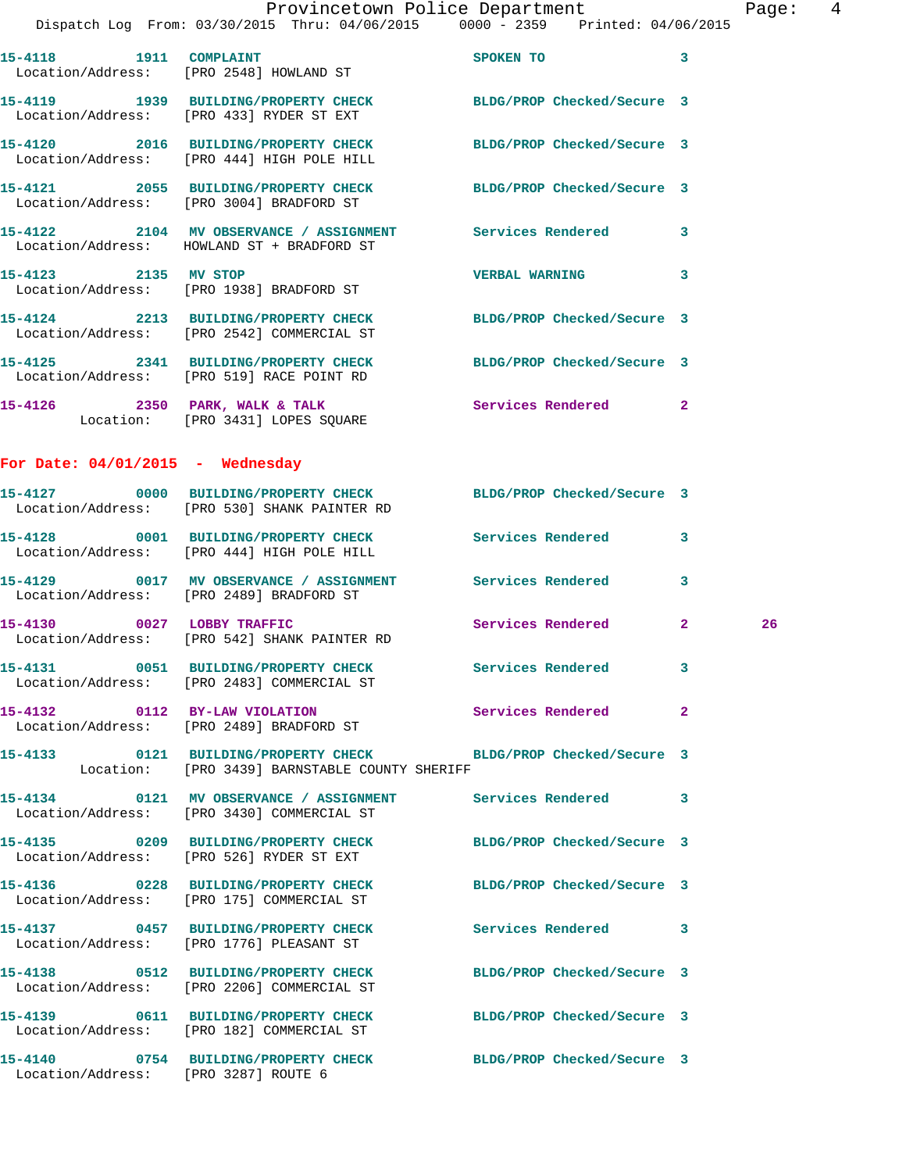| $\mathbb{R}^n$                     | Provincetown Police Department<br>Dispatch Log From: 03/30/2015 Thru: 04/06/2015 0000 - 2359 Printed: 04/06/2015  |                         | Page: 4 |  |
|------------------------------------|-------------------------------------------------------------------------------------------------------------------|-------------------------|---------|--|
|                                    |                                                                                                                   |                         |         |  |
|                                    | 15-4118    1911    COMPLAINT<br>Location/Address: [PRO 2548] HOWLAND ST                                           | SPOKEN TO 3             |         |  |
|                                    | 15-4119 1939 BUILDING/PROPERTY CHECK BLDG/PROP Checked/Secure 3<br>Location/Address: [PRO 433] RYDER ST EXT       |                         |         |  |
|                                    | 15-4120 2016 BUILDING/PROPERTY CHECK BLDG/PROP Checked/Secure 3<br>Location/Address: [PRO 444] HIGH POLE HILL     |                         |         |  |
|                                    | 15-4121 2055 BUILDING/PROPERTY CHECK BLDG/PROP Checked/Secure 3<br>Location/Address: [PRO 3004] BRADFORD ST       |                         |         |  |
|                                    | 15-4122 2104 MV OBSERVANCE / ASSIGNMENT Services Rendered 3<br>Location/Address: HOWLAND ST + BRADFORD ST         |                         |         |  |
| 15-4123 2135 MV STOP               | Location/Address: [PRO 1938] BRADFORD ST                                                                          | <b>VERBAL WARNING 3</b> |         |  |
|                                    | 15-4124 2213 BUILDING/PROPERTY CHECK BLDG/PROP Checked/Secure 3<br>Location/Address: [PRO 2542] COMMERCIAL ST     |                         |         |  |
|                                    | 15-4125 2341 BUILDING/PROPERTY CHECK BLDG/PROP Checked/Secure 3<br>Location/Address: [PRO 519] RACE POINT RD      |                         |         |  |
|                                    | 15-4126 2350 PARK, WALK & TALK Services Rendered 2<br>Location: [PRO 3431] LOPES SQUARE                           |                         |         |  |
| For Date: $04/01/2015$ - Wednesday |                                                                                                                   |                         |         |  |
|                                    | 15-4127 0000 BUILDING/PROPERTY CHECK BLDG/PROP Checked/Secure 3<br>Location/Address: [PRO 530] SHANK PAINTER RD   |                         |         |  |
|                                    | 15-4128 0001 BUILDING/PROPERTY CHECK Services Rendered 3<br>Location/Address: [PRO 444] HIGH POLE HILL            |                         |         |  |
|                                    | 15-4129 0017 MV OBSERVANCE / ASSIGNMENT Services Rendered 3<br>Location/Address: [PRO 2489] BRADFORD ST           |                         |         |  |
|                                    | 15-4130 0027 LOBBY TRAFFIC<br>Location/Address: [PRO 542] SHANK PAINTER RD                                        | Services Rendered 2     | 26      |  |
|                                    | 15-4131 0051 BUILDING/PROPERTY CHECK Services Rendered 3<br>Location/Address: [PRO 2483] COMMERCIAL ST            |                         |         |  |
|                                    | 15-4132 0112 BY-LAW VIOLATION Services Rendered 2<br>Location/Address: [PRO 2489] BRADFORD ST                     |                         |         |  |
|                                    | 15-4133 0121 BUILDING/PROPERTY CHECK BLDG/PROP Checked/Secure 3<br>Location: [PRO 3439] BARNSTABLE COUNTY SHERIFF |                         |         |  |
|                                    | 15-4134 0121 MV OBSERVANCE / ASSIGNMENT Services Rendered 3<br>Location/Address: [PRO 3430] COMMERCIAL ST         |                         |         |  |
|                                    | 15-4135 0209 BUILDING/PROPERTY CHECK BLDG/PROP Checked/Secure 3<br>Location/Address: [PRO 526] RYDER ST EXT       |                         |         |  |
|                                    | 15-4136 0228 BUILDING/PROPERTY CHECK BLDG/PROP Checked/Secure 3<br>Location/Address: [PRO 175] COMMERCIAL ST      |                         |         |  |
|                                    | 15-4137 		 0457 BUILDING/PROPERTY CHECK Services Rendered 3<br>Location/Address: [PRO 1776] PLEASANT ST           |                         |         |  |
|                                    | 15-4138 0512 BUILDING/PROPERTY CHECK BLDG/PROP Checked/Secure 3<br>Location/Address: [PRO 2206] COMMERCIAL ST     |                         |         |  |
|                                    | 15-4139 0611 BUILDING/PROPERTY CHECK BLDG/PROP Checked/Secure 3<br>Location/Address: [PRO 182] COMMERCIAL ST      |                         |         |  |
|                                    | 15-4140 0754 BUILDING/PROPERTY CHECK BLDG/PROP Checked/Secure 3                                                   |                         |         |  |

Location/Address: [PRO 3287] ROUTE 6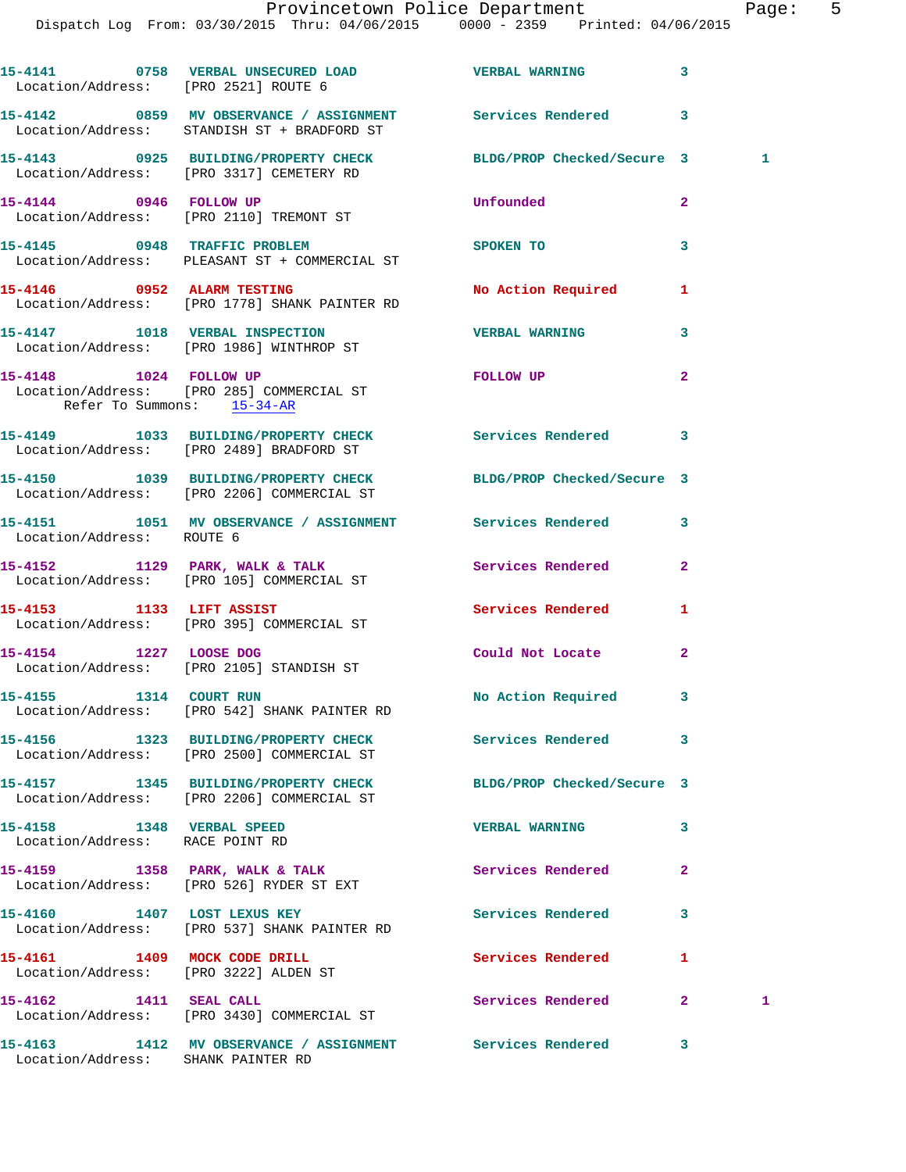| Location/Address: [PRO 2521] ROUTE 6                               | 15-4141 0758 VERBAL UNSECURED LOAD VERBAL WARNING 3                                                           |                          |                               |   |
|--------------------------------------------------------------------|---------------------------------------------------------------------------------------------------------------|--------------------------|-------------------------------|---|
|                                                                    | 15-4142 0859 MV OBSERVANCE / ASSIGNMENT Services Rendered 3<br>Location/Address: STANDISH ST + BRADFORD ST    |                          |                               |   |
|                                                                    | 15-4143 0925 BUILDING/PROPERTY CHECK BLDG/PROP Checked/Secure 3<br>Location/Address: [PRO 3317] CEMETERY RD   |                          |                               | 1 |
|                                                                    | 15-4144 0946 FOLLOW UP<br>Location/Address: [PRO 2110] TREMONT ST                                             | Unfounded                | $\mathbf{2}$                  |   |
|                                                                    | 15-4145 0948 TRAFFIC PROBLEM<br>Location/Address: PLEASANT ST + COMMERCIAL ST                                 | SPOKEN TO                | 3                             |   |
|                                                                    | 15-4146 0952 ALARM TESTING<br>Location/Address: [PRO 1778] SHANK PAINTER RD                                   | No Action Required 1     |                               |   |
|                                                                    | 15-4147 1018 VERBAL INSPECTION<br>Location/Address: [PRO 1986] WINTHROP ST                                    | <b>VERBAL WARNING</b>    | 3                             |   |
| Refer To Summons: 15-34-AR                                         | 15-4148    1024    FOLLOW UP<br>Location/Address: [PRO 285] COMMERCIAL ST                                     | FOLLOW UP                | $\mathbf{2}$                  |   |
|                                                                    | 15-4149 1033 BUILDING/PROPERTY CHECK Services Rendered 3<br>Location/Address: [PRO 2489] BRADFORD ST          |                          |                               |   |
|                                                                    | 15-4150 1039 BUILDING/PROPERTY CHECK BLDG/PROP Checked/Secure 3<br>Location/Address: [PRO 2206] COMMERCIAL ST |                          |                               |   |
| Location/Address: ROUTE 6                                          | 15-4151 1051 MV OBSERVANCE / ASSIGNMENT Services Rendered 3                                                   |                          |                               |   |
|                                                                    | 15-4152 1129 PARK, WALK & TALK<br>Location/Address: [PRO 105] COMMERCIAL ST                                   | Services Rendered        | $\mathbf{2}$                  |   |
|                                                                    | 15-4153 1133 LIFT ASSIST<br>Location/Address: [PRO 395] COMMERCIAL ST                                         | Services Rendered 1      |                               |   |
| 15-4154 1227 LOOSE DOG                                             | Location/Address: [PRO 2105] STANDISH ST                                                                      | Could Not Locate         | $\mathbf{2}$                  |   |
| 15-4155 1314 COURT RUN                                             | Location/Address: [PRO 542] SHANK PAINTER RD                                                                  | No Action Required 3     |                               |   |
|                                                                    | 15-4156 1323 BUILDING/PROPERTY CHECK Services Rendered 3<br>Location/Address: [PRO 2500] COMMERCIAL ST        |                          |                               |   |
|                                                                    | 15-4157 1345 BUILDING/PROPERTY CHECK BLDG/PROP Checked/Secure 3<br>Location/Address: [PRO 2206] COMMERCIAL ST |                          |                               |   |
| 15-4158    1348    VERBAL SPEED<br>Location/Address: RACE POINT RD |                                                                                                               | <b>VERBAL WARNING</b>    | 3                             |   |
|                                                                    | 15-4159 1358 PARK, WALK & TALK<br>Location/Address: [PRO 526] RYDER ST EXT                                    | Services Rendered        | $\mathbf{2}$                  |   |
|                                                                    | 15-4160 1407 LOST LEXUS KEY<br>Location/Address: [PRO 537] SHANK PAINTER RD                                   | Services Rendered        | 3                             |   |
|                                                                    | 15-4161 1409 MOCK CODE DRILL<br>Location/Address: [PRO 3222] ALDEN ST                                         | <b>Services Rendered</b> | 1                             |   |
| 15-4162 1411 SEAL CALL                                             | Location/Address: [PRO 3430] COMMERCIAL ST                                                                    | Services Rendered        | $\mathbf{2}$ and $\mathbf{2}$ | 1 |
| Location/Address: SHANK PAINTER RD                                 | 15-4163 1412 MV OBSERVANCE / ASSIGNMENT Services Rendered 3                                                   |                          |                               |   |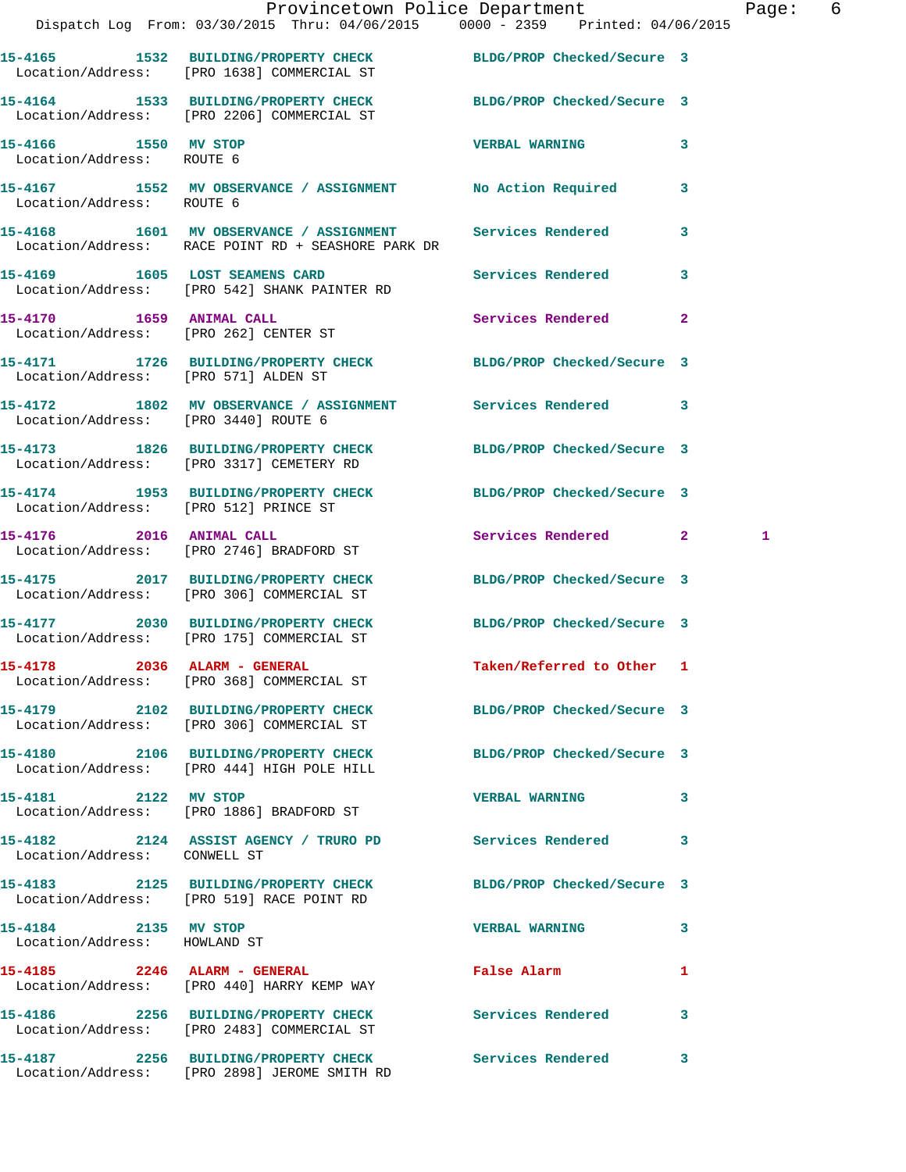|                                                      | Dispatch Log From: 03/30/2015 Thru: 04/06/2015 0000 - 2359 Printed: 04/06/2015                                  | Provincetown Police Department |   | Page: 6 |  |
|------------------------------------------------------|-----------------------------------------------------------------------------------------------------------------|--------------------------------|---|---------|--|
|                                                      | 15-4165 1532 BUILDING/PROPERTY CHECK BLDG/PROP Checked/Secure 3<br>Location/Address: [PRO 1638] COMMERCIAL ST   |                                |   |         |  |
|                                                      | 15-4164 1533 BUILDING/PROPERTY CHECK BLDG/PROP Checked/Secure 3<br>Location/Address: [PRO 2206] COMMERCIAL ST   |                                |   |         |  |
| 15-4166 1550 MV STOP<br>Location/Address: ROUTE 6    |                                                                                                                 | <b>VERBAL WARNING</b>          | 3 |         |  |
| Location/Address: ROUTE 6                            | 15-4167 1552 MV OBSERVANCE / ASSIGNMENT No Action Required 3                                                    |                                |   |         |  |
|                                                      | 15-4168 1601 MV OBSERVANCE / ASSIGNMENT Services Rendered<br>Location/Address: RACE POINT RD + SEASHORE PARK DR |                                | 3 |         |  |
|                                                      | 15-4169 1605 LOST SEAMENS CARD 15-4169 Services Rendered 3<br>Location/Address: [PRO 542] SHANK PAINTER RD      |                                |   |         |  |
|                                                      | 15-4170 1659 ANIMAL CALL<br>Location/Address: [PRO 262] CENTER ST                                               | Services Rendered 2            |   |         |  |
|                                                      | 15-4171 1726 BUILDING/PROPERTY CHECK BLDG/PROP Checked/Secure 3<br>Location/Address: [PRO 571] ALDEN ST         |                                |   |         |  |
| Location/Address: [PRO 3440] ROUTE 6                 | 15-4172 1802 MV OBSERVANCE / ASSIGNMENT Services Rendered 3                                                     |                                |   |         |  |
|                                                      | 15-4173 1826 BUILDING/PROPERTY CHECK BLDG/PROP Checked/Secure 3<br>Location/Address: [PRO 3317] CEMETERY RD     |                                |   |         |  |
| Location/Address: [PRO 512] PRINCE ST                | 15-4174 1953 BUILDING/PROPERTY CHECK BLDG/PROP Checked/Secure 3                                                 |                                |   |         |  |
|                                                      | 15-4176 2016 ANIMAL CALL<br>Location/Address: [PRO 2746] BRADFORD ST                                            | Services Rendered 2            |   | 1       |  |
|                                                      | 15-4175 2017 BUILDING/PROPERTY CHECK BLDG/PROP Checked/Secure 3<br>Location/Address: [PRO 306] COMMERCIAL ST    |                                |   |         |  |
|                                                      | 15-4177 2030 BUILDING/PROPERTY CHECK BLDG/PROP Checked/Secure 3<br>Location/Address: [PRO 175] COMMERCIAL ST    |                                |   |         |  |
|                                                      | 15-4178 2036 ALARM - GENERAL<br>Location/Address: [PRO 368] COMMERCIAL ST                                       | Taken/Referred to Other 1      |   |         |  |
|                                                      | 15-4179 2102 BUILDING/PROPERTY CHECK BLDG/PROP Checked/Secure 3<br>Location/Address: [PRO 306] COMMERCIAL ST    |                                |   |         |  |
|                                                      | 15-4180 2106 BUILDING/PROPERTY CHECK BLDG/PROP Checked/Secure 3<br>Location/Address: [PRO 444] HIGH POLE HILL   |                                |   |         |  |
| 15-4181 2122 MV STOP                                 | Location/Address: [PRO 1886] BRADFORD ST                                                                        | <b>VERBAL WARNING</b>          | 3 |         |  |
| Location/Address: CONWELL ST                         | 15-4182 2124 ASSIST AGENCY / TRURO PD Services Rendered 3                                                       |                                |   |         |  |
|                                                      | 15-4183 2125 BUILDING/PROPERTY CHECK BLDG/PROP Checked/Secure 3<br>Location/Address: [PRO 519] RACE POINT RD    |                                |   |         |  |
| 15-4184 2135 MV STOP<br>Location/Address: HOWLAND ST |                                                                                                                 | VERBAL WARNING 3               |   |         |  |
|                                                      | 15-4185 2246 ALARM - GENERAL<br>Location/Address: [PRO 440] HARRY KEMP WAY                                      | False Alarm                    | 1 |         |  |
|                                                      | 15-4186 2256 BUILDING/PROPERTY CHECK Services Rendered 3<br>Location/Address: [PRO 2483] COMMERCIAL ST          |                                |   |         |  |
|                                                      | 15-4187 2256 BUILDING/PROPERTY CHECK Services Rendered 3<br>Location/Address: [PRO 2898] JEROME SMITH RD        |                                |   |         |  |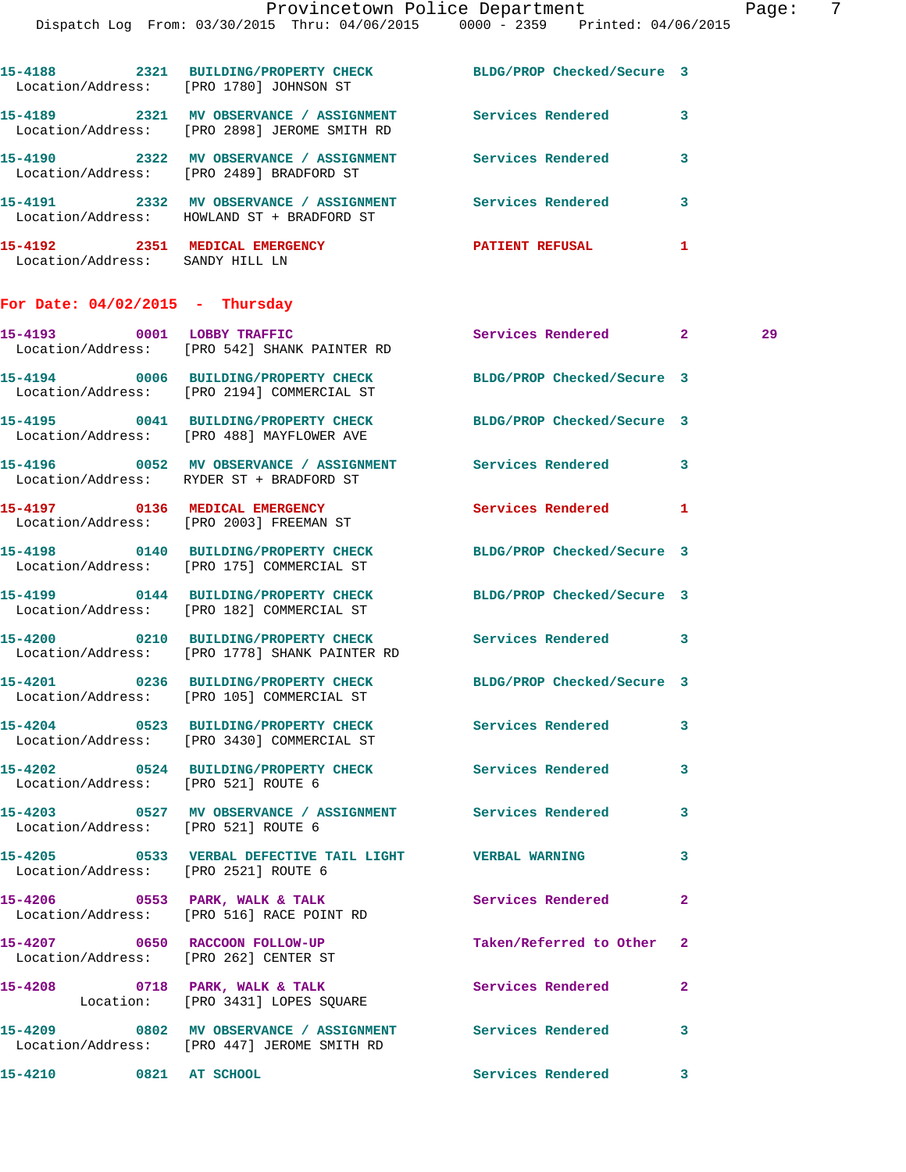| Page |  |
|------|--|
|------|--|

| 15-4188<br>Location/Address: | 2321 | <b>BUILDING/PROPERTY CHECK</b><br>[PRO 1780] JOHNSON ST                    | BLDG/PROP Checked/Secure 3 |   |
|------------------------------|------|----------------------------------------------------------------------------|----------------------------|---|
| 15-4189                      | 2321 | MV OBSERVANCE / ASSIGNMENT<br>Location/Address: [PRO 2898] JEROME SMITH RD | Services Rendered          | 3 |
| 15-4190                      | 2322 | MV OBSERVANCE / ASSIGNMENT<br>Location/Address: [PRO 2489] BRADFORD ST     | Services Rendered          | 3 |
| 15-4191<br>Location/Address: | 2332 | MV OBSERVANCE / ASSIGNMENT<br>HOWLAND ST + BRADFORD ST                     | Services Rendered          | 3 |
| 15-4192<br>Location/Address: | 2351 | MEDICAL EMERGENCY<br>SANDY HILL LN                                         | <b>PATIENT REFUSAL</b>     |   |

## **For Date: 04/02/2015 - Thursday**

|                                      | 15-4193 0001 LOBBY TRAFFIC<br>Location/Address: [PRO 542] SHANK PAINTER RD                                   | Services Rendered 2        |                | 29 |
|--------------------------------------|--------------------------------------------------------------------------------------------------------------|----------------------------|----------------|----|
|                                      | 15-4194 0006 BUILDING/PROPERTY CHECK<br>Location/Address: [PRO 2194] COMMERCIAL ST                           | BLDG/PROP Checked/Secure 3 |                |    |
|                                      | 15-4195 0041 BUILDING/PROPERTY CHECK BLDG/PROP Checked/Secure 3<br>Location/Address: [PRO 488] MAYFLOWER AVE |                            |                |    |
|                                      | 15-4196 6052 MV OBSERVANCE / ASSIGNMENT Services Rendered 3<br>Location/Address: RYDER ST + BRADFORD ST      |                            |                |    |
| 15-4197 0136 MEDICAL EMERGENCY       | Location/Address: [PRO 2003] FREEMAN ST                                                                      | Services Rendered          | $\mathbf{1}$   |    |
|                                      | 15-4198 0140 BUILDING/PROPERTY CHECK<br>Location/Address: [PRO 175] COMMERCIAL ST                            | BLDG/PROP Checked/Secure 3 |                |    |
|                                      | 15-4199 0144 BUILDING/PROPERTY CHECK BLDG/PROP Checked/Secure 3<br>Location/Address: [PRO 182] COMMERCIAL ST |                            |                |    |
|                                      | 15-4200 0210 BUILDING/PROPERTY CHECK<br>Location/Address: [PRO 1778] SHANK PAINTER RD                        | Services Rendered 3        |                |    |
|                                      | 15-4201 0236 BUILDING/PROPERTY CHECK<br>Location/Address: [PRO 105] COMMERCIAL ST                            | BLDG/PROP Checked/Secure 3 |                |    |
|                                      | 15-4204 0523 BUILDING/PROPERTY CHECK Services Rendered<br>Location/Address: [PRO 3430] COMMERCIAL ST         |                            | 3              |    |
| Location/Address: [PRO 521] ROUTE 6  | 15-4202 0524 BUILDING/PROPERTY CHECK Services Rendered 3                                                     |                            |                |    |
| Location/Address: [PRO 521] ROUTE 6  | 15-4203 0527 MV OBSERVANCE / ASSIGNMENT Services Rendered                                                    |                            | 3              |    |
| Location/Address: [PRO 2521] ROUTE 6 | 15-4205 0533 VERBAL DEFECTIVE TAIL LIGHT WERBAL WARNING                                                      |                            | 3              |    |
|                                      | 15-4206 0553 PARK, WALK & TALK<br>Location/Address: [PRO 516] RACE POINT RD                                  | <b>Services Rendered</b>   | $\overline{2}$ |    |
|                                      | 15-4207 0650 RACCOON FOLLOW-UP<br>Location/Address: [PRO 262] CENTER ST                                      | Taken/Referred to Other    | $\mathbf{2}$   |    |
|                                      | 15-4208 0718 PARK, WALK & TALK<br>Location: [PRO 3431] LOPES SQUARE                                          | Services Rendered          | $\overline{2}$ |    |
|                                      | 15-4209 0802 MV OBSERVANCE / ASSIGNMENT Services Rendered 3<br>Location/Address: [PRO 447] JEROME SMITH RD   |                            |                |    |
| 15-4210 0821 AT SCHOOL               |                                                                                                              | Services Rendered 3        |                |    |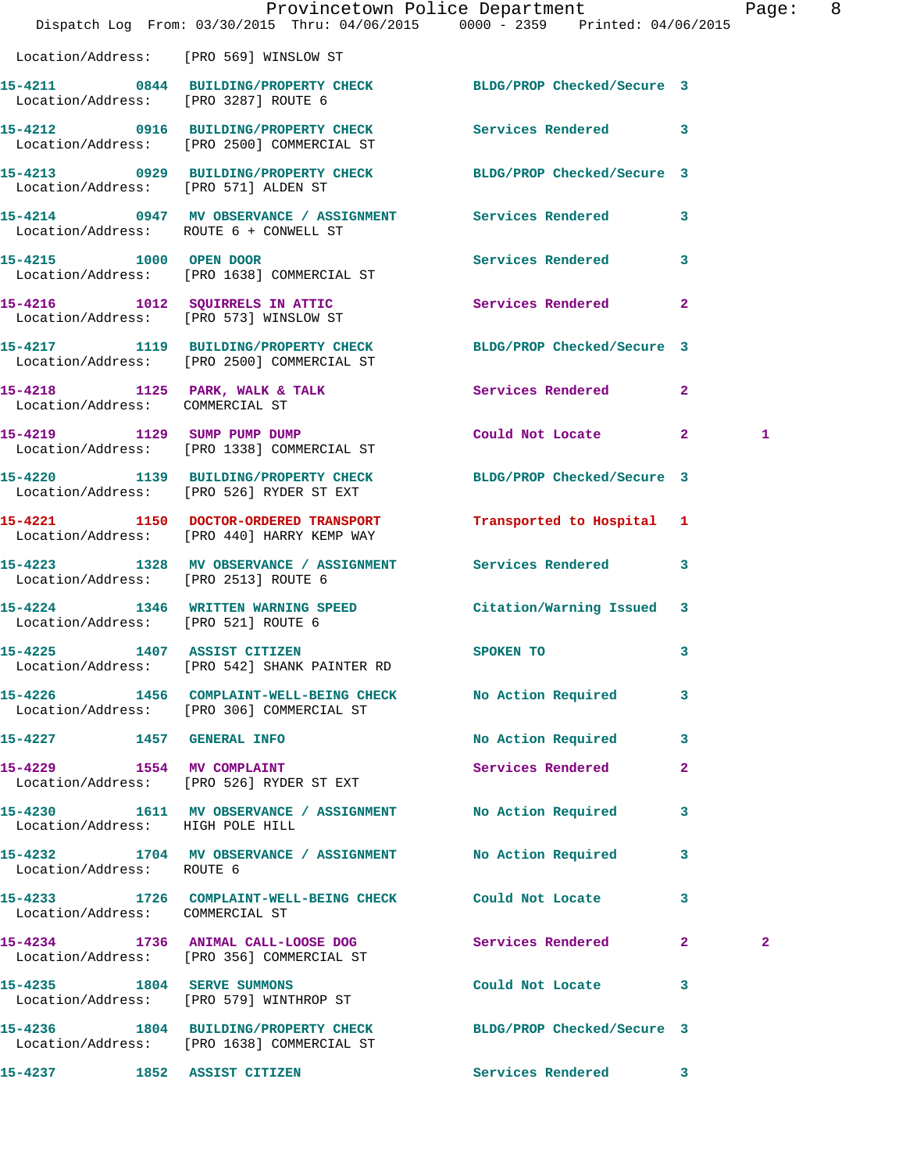|                                        | Dispatch Log From: 03/30/2015 Thru: 04/06/2015 0000 - 2359 Printed: 04/06/2015                                | Provincetown Police Department |              | Page: 8      |  |
|----------------------------------------|---------------------------------------------------------------------------------------------------------------|--------------------------------|--------------|--------------|--|
| Location/Address: [PRO 569] WINSLOW ST |                                                                                                               |                                |              |              |  |
| Location/Address: [PRO 3287] ROUTE 6   | 15-4211 0844 BUILDING/PROPERTY CHECK BLDG/PROP Checked/Secure 3                                               |                                |              |              |  |
|                                        | 15-4212 0916 BUILDING/PROPERTY CHECK<br>Location/Address: [PRO 2500] COMMERCIAL ST                            | Services Rendered 3            |              |              |  |
| Location/Address: [PRO 571] ALDEN ST   | 15-4213 0929 BUILDING/PROPERTY CHECK BLDG/PROP Checked/Secure 3                                               |                                |              |              |  |
| Location/Address: ROUTE 6 + CONWELL ST | 15-4214 0947 MV OBSERVANCE / ASSIGNMENT Services Rendered 3                                                   |                                |              |              |  |
| 15-4215 1000 OPEN DOOR                 | Location/Address: [PRO 1638] COMMERCIAL ST                                                                    | Services Rendered 3            |              |              |  |
|                                        | 15-4216 1012 SQUIRRELS IN ATTIC<br>Location/Address: [PRO 573] WINSLOW ST                                     | Services Rendered              | $\mathbf{2}$ |              |  |
|                                        | 15-4217 1119 BUILDING/PROPERTY CHECK BLDG/PROP Checked/Secure 3<br>Location/Address: [PRO 2500] COMMERCIAL ST |                                |              |              |  |
|                                        | 15-4218 1125 PARK, WALK & TALK Services Rendered 2<br>Location/Address: COMMERCIAL ST                         |                                |              |              |  |
|                                        | 15-4219 1129 SUMP PUMP DUMP<br>Location/Address: [PRO 1338] COMMERCIAL ST                                     | Could Not Locate 2             |              | 1            |  |
|                                        | 15-4220 1139 BUILDING/PROPERTY CHECK<br>Location/Address: [PRO 526] RYDER ST EXT                              | BLDG/PROP Checked/Secure 3     |              |              |  |
|                                        | 15-4221 1150 DOCTOR-ORDERED TRANSPORT<br>Location/Address: [PRO 440] HARRY KEMP WAY                           | Transported to Hospital 1      |              |              |  |
| Location/Address: [PRO 2513] ROUTE 6   | 15-4223 1328 MV OBSERVANCE / ASSIGNMENT                                                                       | Services Rendered 3            |              |              |  |
| Location/Address: [PRO 521] ROUTE 6    | 15-4224 1346 WRITTEN WARNING SPEED                                                                            | Citation/Warning Issued 3      |              |              |  |
|                                        | 15-4225 1407 ASSIST CITIZEN SPOKEN TO<br>Location/Address: [PRO 542] SHANK PAINTER RD                         |                                | 3            |              |  |
|                                        | 15-4226 1456 COMPLAINT-WELL-BEING CHECK No Action Required<br>Location/Address: [PRO 306] COMMERCIAL ST       |                                | 3            |              |  |
|                                        | 15-4227 1457 GENERAL INFO                                                                                     | No Action Required             | $\mathbf{3}$ |              |  |
|                                        | 15-4229 1554 MV COMPLAINT<br>Location/Address: [PRO 526] RYDER ST EXT                                         | Services Rendered              | $\mathbf{2}$ |              |  |
| Location/Address: HIGH POLE HILL       | 15-4230 1611 MV OBSERVANCE / ASSIGNMENT No Action Required                                                    |                                | 3            |              |  |
| Location/Address: ROUTE 6              | 15-4232 1704 MV OBSERVANCE / ASSIGNMENT No Action Required 3                                                  |                                |              |              |  |
| Location/Address: COMMERCIAL ST        | 15-4233 1726 COMPLAINT-WELL-BEING CHECK Could Not Locate                                                      |                                | 3            |              |  |
|                                        | 15-4234 1736 ANIMAL CALL-LOOSE DOG<br>Location/Address: [PRO 356] COMMERCIAL ST                               | Services Rendered 2            |              | $\mathbf{2}$ |  |
|                                        | 15-4235 1804 SERVE SUMMONS<br>Location/Address: [PRO 579] WINTHROP ST                                         | Could Not Locate               | 3            |              |  |
|                                        | 15-4236 1804 BUILDING/PROPERTY CHECK BLDG/PROP Checked/Secure 3<br>Location/Address: [PRO 1638] COMMERCIAL ST |                                |              |              |  |
| 15-4237 1852 ASSIST CITIZEN            |                                                                                                               | Services Rendered 3            |              |              |  |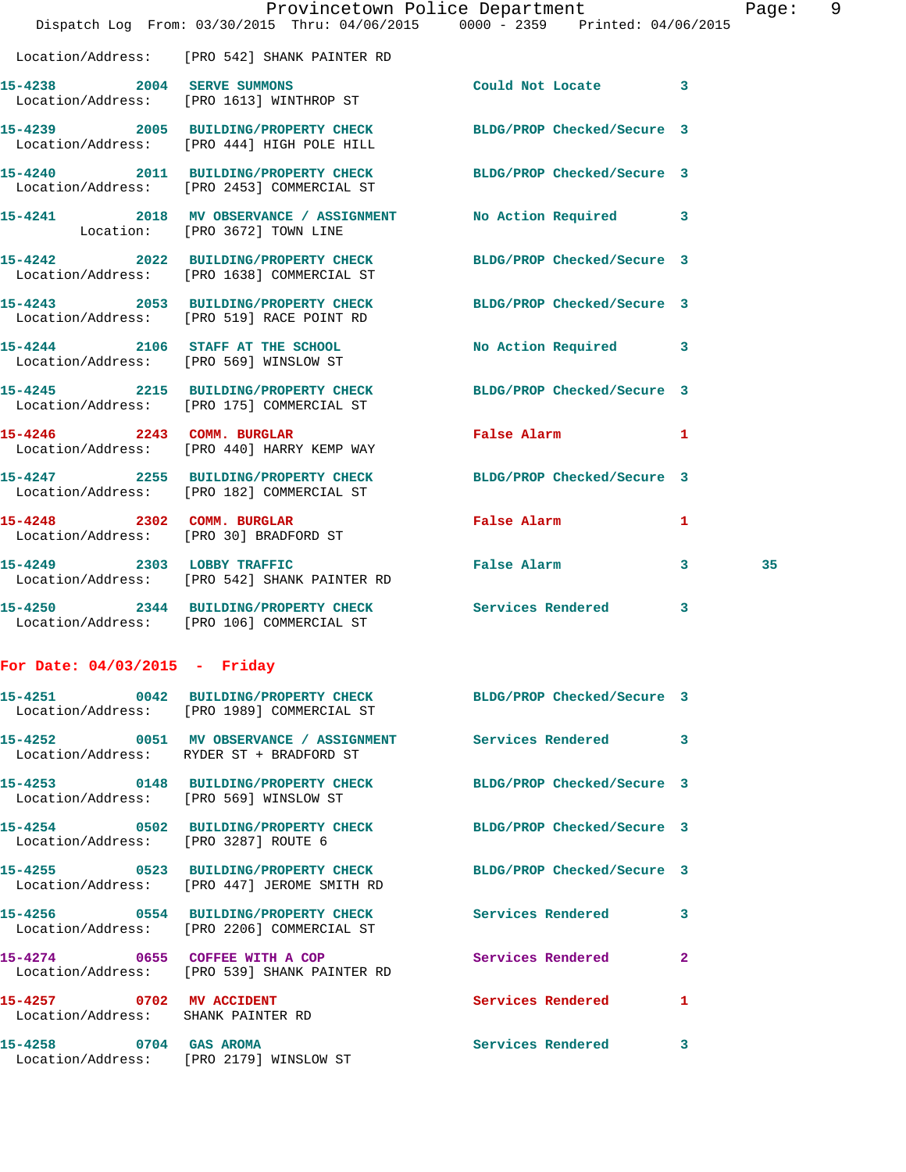|                                                                |                                                                                    | Provincetown Police Department                                                 | Page: | 9 |
|----------------------------------------------------------------|------------------------------------------------------------------------------------|--------------------------------------------------------------------------------|-------|---|
|                                                                |                                                                                    | Dispatch Log From: 03/30/2015 Thru: 04/06/2015 0000 - 2359 Printed: 04/06/2015 |       |   |
|                                                                | Location/Address: [PRO 542] SHANK PAINTER RD                                       |                                                                                |       |   |
|                                                                | 15-4238 2004 SERVE SUMMONS<br>Location/Address: [PRO 1613] WINTHROP ST             | Could Not Locate 3                                                             |       |   |
|                                                                | Location/Address: [PRO 444] HIGH POLE HILL                                         | 15-4239 2005 BUILDING/PROPERTY CHECK BLDG/PROP Checked/Secure 3                |       |   |
|                                                                | Location/Address: [PRO 2453] COMMERCIAL ST                                         | 15-4240 2011 BUILDING/PROPERTY CHECK BLDG/PROP Checked/Secure 3                |       |   |
|                                                                | Location: [PRO 3672] TOWN LINE                                                     | 15-4241 2018 MV OBSERVANCE / ASSIGNMENT No Action Required 3                   |       |   |
|                                                                | 15-4242 2022 BUILDING/PROPERTY CHECK<br>Location/Address: [PRO 1638] COMMERCIAL ST | BLDG/PROP Checked/Secure 3                                                     |       |   |
|                                                                | Location/Address: [PRO 519] RACE POINT RD                                          | 15-4243 2053 BUILDING/PROPERTY CHECK BLDG/PROP Checked/Secure 3                |       |   |
|                                                                | 15-4244 2106 STAFF AT THE SCHOOL<br>Location/Address: [PRO 569] WINSLOW ST         | No Action Required 3                                                           |       |   |
|                                                                | Location/Address: [PRO 175] COMMERCIAL ST                                          | 15-4245 2215 BUILDING/PROPERTY CHECK BLDG/PROP Checked/Secure 3                |       |   |
|                                                                | 15-4246 2243 COMM. BURGLAR<br>Location/Address: [PRO 440] HARRY KEMP WAY           | False Alarm 1                                                                  |       |   |
|                                                                | 15-4247 2255 BUILDING/PROPERTY CHECK<br>Location/Address: [PRO 182] COMMERCIAL ST  | BLDG/PROP Checked/Secure 3                                                     |       |   |
|                                                                | 15-4248 2302 COMM. BURGLAR<br>Location/Address: [PRO 30] BRADFORD ST               | False Alarm<br>$\mathbf{1}$                                                    |       |   |
|                                                                | 15-4249 2303 LOBBY TRAFFIC<br>Location/Address: [PRO 542] SHANK PAINTER RD         | False Alarm 3                                                                  | 35    |   |
|                                                                | Location/Address: [PRO 106] COMMERCIAL ST                                          | 15-4250 2344 BUILDING/PROPERTY CHECK Services Rendered 3                       |       |   |
| For Date: $04/03/2015$ - Friday                                |                                                                                    |                                                                                |       |   |
|                                                                | Location/Address: [PRO 1989] COMMERCIAL ST                                         | 15-4251 0042 BUILDING/PROPERTY CHECK BLDG/PROP Checked/Secure 3                |       |   |
|                                                                | Location/Address: RYDER ST + BRADFORD ST                                           | 15-4252 0051 MV OBSERVANCE / ASSIGNMENT Services Rendered 3                    |       |   |
|                                                                | Location/Address: [PRO 569] WINSLOW ST                                             | 15-4253 0148 BUILDING/PROPERTY CHECK BLDG/PROP Checked/Secure 3                |       |   |
| Location/Address: [PRO 3287] ROUTE 6                           |                                                                                    | 15-4254 0502 BUILDING/PROPERTY CHECK BLDG/PROP Checked/Secure 3                |       |   |
|                                                                | Location/Address: [PRO 447] JEROME SMITH RD                                        | 15-4255 0523 BUILDING/PROPERTY CHECK BLDG/PROP Checked/Secure 3                |       |   |
|                                                                | Location/Address: [PRO 2206] COMMERCIAL ST                                         | 15-4256 0554 BUILDING/PROPERTY CHECK Services Rendered 3                       |       |   |
|                                                                | 15-4274 0655 COFFEE WITH A COP<br>Location/Address: [PRO 539] SHANK PAINTER RD     | Services Rendered 2                                                            |       |   |
| 15-4257 0702 MV ACCIDENT<br>Location/Address: SHANK PAINTER RD |                                                                                    | Services Rendered 1                                                            |       |   |
| 15-4258 0704 GAS AROMA                                         | Location/Address: [PRO 2179] WINSLOW ST                                            | Services Rendered 3                                                            |       |   |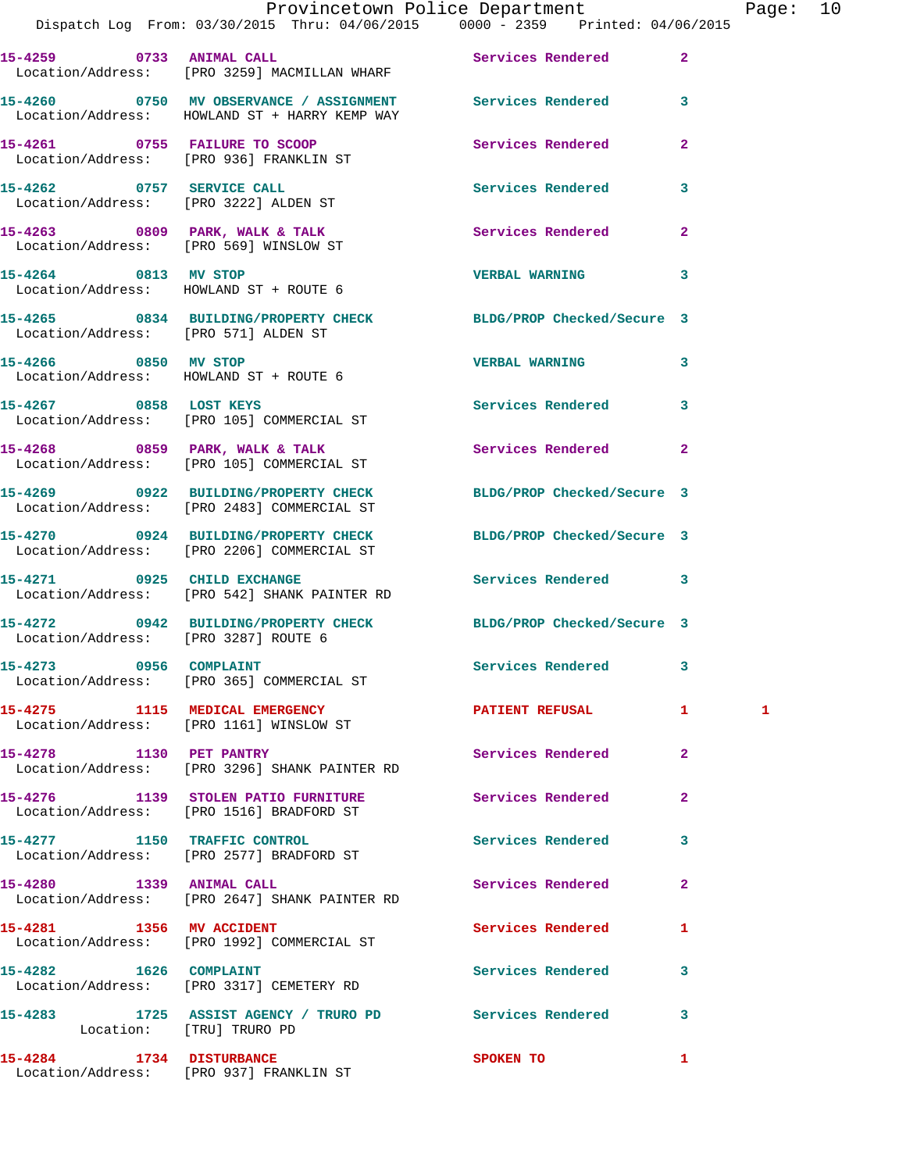|                                        | Provincetown Police Department<br>Dispatch Log From: 03/30/2015 Thru: 04/06/2015 0000 - 2359 Printed: 04/06/2015  |                          |                               | Page: 10 |  |
|----------------------------------------|-------------------------------------------------------------------------------------------------------------------|--------------------------|-------------------------------|----------|--|
|                                        | Location/Address: [PRO 3259] MACMILLAN WHARF                                                                      |                          |                               |          |  |
|                                        | 15-4260 0750 MV OBSERVANCE / ASSIGNMENT Services Rendered 3<br>Location/Address: HOWLAND ST + HARRY KEMP WAY      |                          |                               |          |  |
|                                        | 15-4261 0755 FAILURE TO SCOOP<br>Location/Address: [PRO 936] FRANKLIN ST                                          | Services Rendered        | $\mathbf{2}$                  |          |  |
|                                        | 15-4262 0757 SERVICE CALL<br>Location/Address: [PRO 3222] ALDEN ST                                                | Services Rendered        | 3                             |          |  |
|                                        |                                                                                                                   | Services Rendered 2      |                               |          |  |
|                                        | 15-4264 0813 MV STOP<br>Location/Address: HOWLAND ST + ROUTE 6                                                    | <b>VERBAL WARNING</b>    | 3                             |          |  |
| Location/Address: [PRO 571] ALDEN ST   | 15-4265 0834 BUILDING/PROPERTY CHECK BLDG/PROP Checked/Secure 3                                                   |                          |                               |          |  |
| Location/Address: HOWLAND ST + ROUTE 6 | 15-4266 0850 MV STOP                                                                                              | <b>VERBAL WARNING</b>    | 3                             |          |  |
|                                        | 15-4267 0858 LOST KEYS<br>Location/Address: [PRO 105] COMMERCIAL ST                                               | Services Rendered 3      |                               |          |  |
|                                        | 15-4268 0859 PARK, WALK & TALK<br>Location/Address: [PRO 105] COMMERCIAL ST                                       | Services Rendered        | $\mathbf{2}$                  |          |  |
|                                        | 15-4269 0922 BUILDING/PROPERTY CHECK BLDG/PROP Checked/Secure 3<br>Location/Address: [PRO 2483] COMMERCIAL ST     |                          |                               |          |  |
|                                        | 15-4270 0924 BUILDING/PROPERTY CHECK BLDG/PROP Checked/Secure 3<br>Location/Address: [PRO 2206] COMMERCIAL ST     |                          |                               |          |  |
| 15-4271 0925 CHILD EXCHANGE            | Location/Address: [PRO 542] SHANK PAINTER RD                                                                      | Services Rendered 3      |                               |          |  |
|                                        | 15-4272   0942   BUILDING/PROPERTY CHECK   BLDG/PROP Checked/Secure   3<br>Location/Address: [PRO 3287] ROUTE   6 |                          |                               |          |  |
|                                        | 15-4273 0956 COMPLAINT<br>Location/Address: [PRO 365] COMMERCIAL ST                                               | <b>Services Rendered</b> |                               |          |  |
|                                        | 15-4275 1115 MEDICAL EMERGENCY<br>Location/Address: [PRO 1161] WINSLOW ST                                         | <b>PATIENT REFUSAL</b>   | $\mathbf{1}$ and $\mathbf{1}$ | 1        |  |
| 15-4278 1130 PET PANTRY                | Location/Address: [PRO 3296] SHANK PAINTER RD                                                                     | Services Rendered        | $\mathbf{2}$                  |          |  |
|                                        | 15-4276 1139 STOLEN PATIO FURNITURE<br>Location/Address: [PRO 1516] BRADFORD ST                                   | Services Rendered        | $\mathbf{2}$                  |          |  |
|                                        | 15-4277 1150 TRAFFIC CONTROL<br>Location/Address: [PRO 2577] BRADFORD ST                                          | Services Rendered        | 3                             |          |  |
|                                        | 15-4280 1339 ANIMAL CALL<br>Location/Address: [PRO 2647] SHANK PAINTER RD                                         | Services Rendered        | $\mathbf{2}$                  |          |  |
| 15-4281 1356 MV ACCIDENT               | Location/Address: [PRO 1992] COMMERCIAL ST                                                                        | Services Rendered        | 1                             |          |  |
|                                        | 15-4282 1626 COMPLAINT<br>Location/Address: [PRO 3317] CEMETERY RD                                                | Services Rendered        | 3                             |          |  |
|                                        | 15-4283 1725 ASSIST AGENCY / TRURO PD Services Rendered<br>Location: [TRU] TRURO PD                               |                          | 3                             |          |  |
|                                        |                                                                                                                   |                          |                               |          |  |

**15-4284 1734 DISTURBANCE SPOKEN TO 1** 

Location/Address: [PRO 937] FRANKLIN ST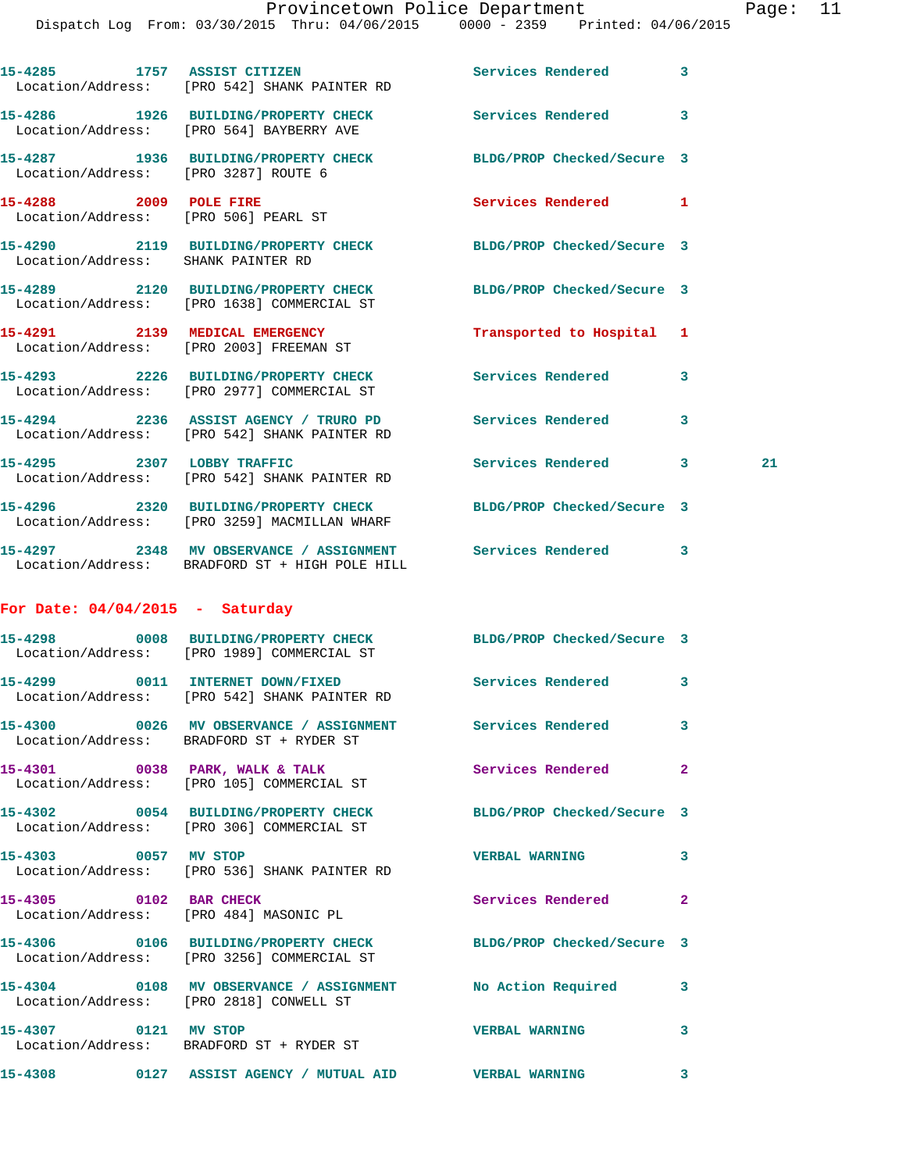|                                   | 15-4285 1757 ASSIST CITIZEN<br>Location/Address: [PRO 542] SHANK PAINTER RD                                    | Services Rendered          | 3            |    |
|-----------------------------------|----------------------------------------------------------------------------------------------------------------|----------------------------|--------------|----|
|                                   | 15-4286 1926 BUILDING/PROPERTY CHECK<br>Location/Address: [PRO 564] BAYBERRY AVE                               | <b>Services Rendered</b> 3 |              |    |
|                                   | 15-4287 1936 BUILDING/PROPERTY CHECK<br>Location/Address: [PRO 3287] ROUTE 6                                   | BLDG/PROP Checked/Secure 3 |              |    |
|                                   | 15-4288 2009 POLE FIRE<br>Location/Address: [PRO 506] PEARL ST                                                 | Services Rendered 1        |              |    |
|                                   | 15-4290 2119 BUILDING/PROPERTY CHECK BLDG/PROP Checked/Secure 3<br>Location/Address: SHANK PAINTER RD          |                            |              |    |
|                                   | 15-4289 2120 BUILDING/PROPERTY CHECK BLDG/PROP Checked/Secure 3<br>Location/Address: [PRO 1638] COMMERCIAL ST  |                            |              |    |
|                                   | 15-4291 2139 MEDICAL EMERGENCY<br>Location/Address: [PRO 2003] FREEMAN ST                                      | Transported to Hospital 1  |              |    |
|                                   | 15-4293 2226 BUILDING/PROPERTY CHECK<br>Location/Address: [PRO 2977] COMMERCIAL ST                             | Services Rendered 3        |              |    |
|                                   | 15-4294 2236 ASSIST AGENCY / TRURO PD Services Rendered<br>Location/Address: [PRO 542] SHANK PAINTER RD        |                            | 3            |    |
|                                   | 15-4295 2307 LOBBY TRAFFIC<br>Location/Address: [PRO 542] SHANK PAINTER RD                                     | Services Rendered 3        |              | 21 |
|                                   | 15-4296 2320 BUILDING/PROPERTY CHECK<br>Location/Address: [PRO 3259] MACMILLAN WHARF                           | BLDG/PROP Checked/Secure 3 |              |    |
|                                   | 15-4297 2348 MV OBSERVANCE / ASSIGNMENT Services Rendered 3<br>Location/Address: BRADFORD ST + HIGH POLE HILL  |                            |              |    |
|                                   |                                                                                                                |                            |              |    |
| For Date: $04/04/2015$ - Saturday |                                                                                                                |                            |              |    |
|                                   | 15-4298 0008 BUILDING/PROPERTY CHECK BLDG/PROP Checked/Secure 3<br>Location/Address: [PRO 1989] COMMERCIAL ST  |                            |              |    |
|                                   | 15-4299 0011 INTERNET DOWN/FIXED<br>Location/Address: [PRO 542] SHANK PAINTER RD                               | Services Rendered 3        |              |    |
|                                   | 15-4300 0026 MV OBSERVANCE / ASSIGNMENT Services Rendered<br>Location/Address: BRADFORD ST + RYDER ST          |                            | 3            |    |
|                                   | 15-4301 0038 PARK, WALK & TALK<br>Location/Address: [PRO 105] COMMERCIAL ST                                    | Services Rendered          | $\mathbf{2}$ |    |
|                                   | 15-4302 0054 BUILDING/PROPERTY CHECK BLDG/PROP Checked/Secure 3<br>Location/Address: [PRO 306] COMMERCIAL ST   |                            |              |    |
| 15-4303 0057 MV STOP              | Location/Address: [PRO 536] SHANK PAINTER RD                                                                   | <b>VERBAL WARNING</b>      | 3            |    |
| 15-4305 0102 BAR CHECK            | Location/Address: [PRO 484] MASONIC PL                                                                         | Services Rendered          | $\mathbf{2}$ |    |
|                                   | 15-4306  0106 BUILDING/PROPERTY CHECK BLDG/PROP Checked/Secure 3<br>Location/Address: [PRO 3256] COMMERCIAL ST |                            |              |    |
|                                   | 15-4304 0108 MV OBSERVANCE / ASSIGNMENT No Action Required<br>Location/Address: [PRO 2818] CONWELL ST          |                            | 3            |    |
| 15-4307 0121 MV STOP              | Location/Address: BRADFORD ST + RYDER ST                                                                       | <b>VERBAL WARNING</b>      | 3            |    |
|                                   | 15-4308  0127 ASSIST AGENCY / MUTUAL AID  VERBAL WARNING                                                       |                            | 3            |    |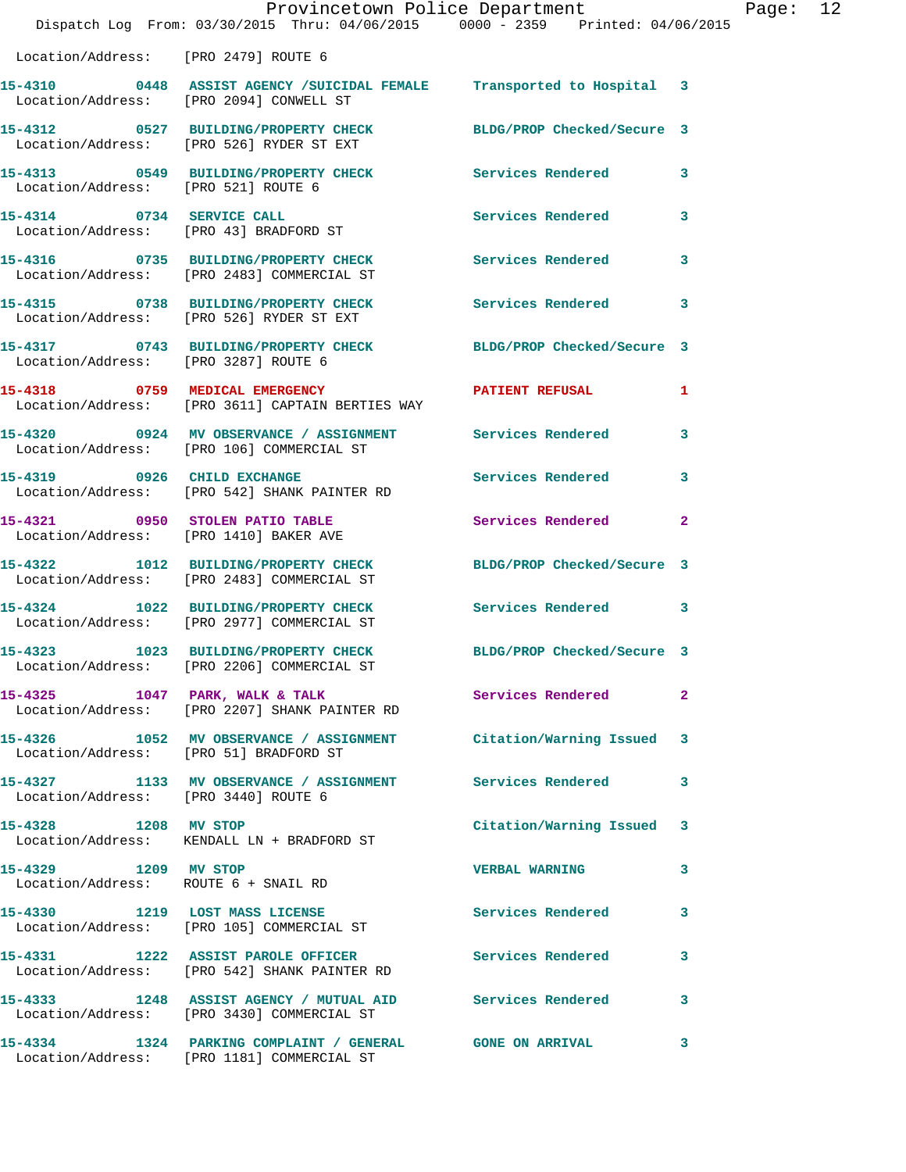|                                                                           | Provincetown Police Department<br>Dispatch Log From: 03/30/2015 Thru: 04/06/2015 0000 - 2359 Printed: 04/06/2015      |                            |              |
|---------------------------------------------------------------------------|-----------------------------------------------------------------------------------------------------------------------|----------------------------|--------------|
| Location/Address: [PRO 2479] ROUTE 6                                      |                                                                                                                       |                            |              |
|                                                                           | 15-4310      0448 ASSIST AGENCY /SUICIDAL FEMALE Transported to Hospital 3<br>Location/Address: [PRO 2094] CONWELL ST |                            |              |
|                                                                           | 15-4312 0527 BUILDING/PROPERTY CHECK<br>Location/Address: [PRO 526] RYDER ST EXT                                      | BLDG/PROP Checked/Secure 3 |              |
| Location/Address: [PRO 521] ROUTE 6                                       | 15-4313 0549 BUILDING/PROPERTY CHECK                                                                                  | <b>Services Rendered</b>   | 3            |
| 15-4314 0734 SERVICE CALL                                                 | Location/Address: [PRO 43] BRADFORD ST                                                                                | <b>Services Rendered</b>   | 3            |
|                                                                           | 15-4316 0735 BUILDING/PROPERTY CHECK<br>Location/Address: [PRO 2483] COMMERCIAL ST                                    | <b>Services Rendered</b>   | 3            |
|                                                                           | 15-4315 0738 BUILDING/PROPERTY CHECK<br>Location/Address: [PRO 526] RYDER ST EXT                                      | <b>Services Rendered</b>   | 3            |
| Location/Address: [PRO 3287] ROUTE 6                                      | 15-4317 0743 BUILDING/PROPERTY CHECK BLDG/PROP Checked/Secure 3                                                       |                            |              |
|                                                                           | 15-4318 0759 MEDICAL EMERGENCY<br>Location/Address: [PRO 3611] CAPTAIN BERTIES WAY                                    | <b>PATIENT REFUSAL</b>     | 1            |
|                                                                           | 15-4320 0924 MV OBSERVANCE / ASSIGNMENT Services Rendered<br>Location/Address: [PRO 106] COMMERCIAL ST                |                            | 3            |
|                                                                           | 15-4319 0926 CHILD EXCHANGE<br>Location/Address: [PRO 542] SHANK PAINTER RD                                           | Services Rendered          | 3            |
| 15-4321 0950 STOLEN PATIO TABLE<br>Location/Address: [PRO 1410] BAKER AVE |                                                                                                                       | Services Rendered          | 2            |
|                                                                           | 15-4322 1012 BUILDING/PROPERTY CHECK<br>Location/Address: [PRO 2483] COMMERCIAL ST                                    | BLDG/PROP Checked/Secure 3 |              |
|                                                                           | 15-4324 1022 BUILDING/PROPERTY CHECK<br>Location/Address: [PRO 2977] COMMERCIAL ST                                    | Services Rendered          | 3            |
|                                                                           | 15-4323 1023 BUILDING/PROPERTY CHECK<br>Location/Address: [PRO 2206] COMMERCIAL ST                                    | BLDG/PROP Checked/Secure 3 |              |
|                                                                           | 15-4325 1047 PARK, WALK & TALK<br>Location/Address: [PRO 2207] SHANK PAINTER RD                                       | Services Rendered          | $\mathbf{2}$ |
| Location/Address: [PRO 51] BRADFORD ST                                    | 15-4326 1052 MV OBSERVANCE / ASSIGNMENT Citation/Warning Issued                                                       |                            | 3            |
| Location/Address: [PRO 3440] ROUTE 6                                      | 15-4327 1133 MV OBSERVANCE / ASSIGNMENT Services Rendered                                                             |                            | 3            |
|                                                                           | 15-4328 1208 MV STOP<br>Location/Address: KENDALL LN + BRADFORD ST                                                    | Citation/Warning Issued    | 3            |
| 15-4329 1209 MV STOP<br>Location/Address: ROUTE 6 + SNAIL RD              |                                                                                                                       | <b>VERBAL WARNING</b>      | 3            |
|                                                                           | 15-4330 1219 LOST MASS LICENSE<br>Location/Address: [PRO 105] COMMERCIAL ST                                           | Services Rendered          | 3            |
|                                                                           | 15-4331 1222 ASSIST PAROLE OFFICER<br>Location/Address: [PRO 542] SHANK PAINTER RD                                    | Services Rendered          | 3            |
|                                                                           | 15-4333 1248 ASSIST AGENCY / MUTUAL AID Services Rendered<br>Location/Address: [PRO 3430] COMMERCIAL ST               |                            | 3            |
|                                                                           | 15-4334 1324 PARKING COMPLAINT / GENERAL GONE ON ARRIVAL<br>Location/Address: [PRO 1181] COMMERCIAL ST                |                            | 3            |

Page: 12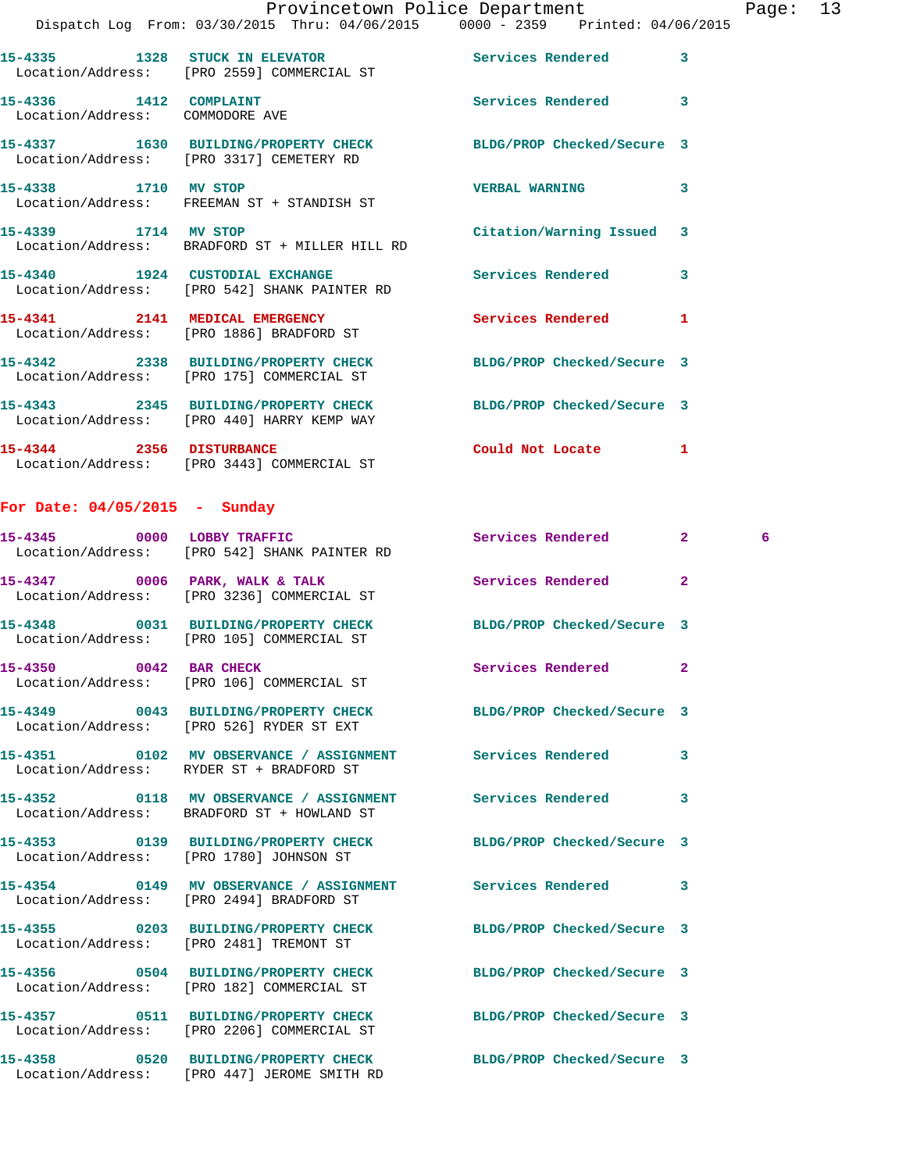| $\mathcal{L}(\mathcal{L})$                                | Provincetown Police Department<br>Dispatch Log From: 03/30/2015 Thru: 04/06/2015 0000 - 2359 Printed: 04/06/2015 |                           | Page: 13 |  |
|-----------------------------------------------------------|------------------------------------------------------------------------------------------------------------------|---------------------------|----------|--|
|                                                           | 15-4335 1328 STUCK IN ELEVATOR Services Rendered 3<br>Location/Address: [PRO 2559] COMMERCIAL ST                 |                           |          |  |
| 15-4336 1412 COMPLAINT<br>Location/Address: COMMODORE AVE |                                                                                                                  | Services Rendered 3       |          |  |
|                                                           | 15-4337 1630 BUILDING/PROPERTY CHECK BLDG/PROP Checked/Secure 3<br>Location/Address: [PRO 3317] CEMETERY RD      |                           |          |  |
|                                                           | 15-4338 1710 MV STOP<br>Location/Address: FREEMAN ST + STANDISH ST                                               | VERBAL WARNING 3          |          |  |
|                                                           | 15-4339 1714 MV STOP<br>Location/Address: BRADFORD ST + MILLER HILL RD                                           | Citation/Warning Issued 3 |          |  |
|                                                           | 15-4340 1924 CUSTODIAL EXCHANGE 15-4340 Services Rendered 3<br>Location/Address: [PRO 542] SHANK PAINTER RD      |                           |          |  |
|                                                           | 15-4341 2141 MEDICAL EMERGENCY<br>Location/Address: [PRO 1886] BRADFORD ST                                       | Services Rendered 1       |          |  |
|                                                           | 15-4342 2338 BUILDING/PROPERTY CHECK BLDG/PROP Checked/Secure 3<br>Location/Address: [PRO 175] COMMERCIAL ST     |                           |          |  |
|                                                           | 15-4343 2345 BUILDING/PROPERTY CHECK BLDG/PROP Checked/Secure 3<br>Location/Address: [PRO 440] HARRY KEMP WAY    |                           |          |  |
|                                                           | 15-4344 2356 DISTURBANCE<br>Location/Address: [PRO 3443] COMMERCIAL ST                                           | Could Not Locate 1        |          |  |
| For Date: $04/05/2015$ - Sunday                           |                                                                                                                  |                           |          |  |
|                                                           | 15-4345 0000 LOBBY TRAFFIC<br>Location/Address: [PRO 542] SHANK PAINTER RD                                       | Services Rendered 2       | 6        |  |
|                                                           | 15-4347 0006 PARK, WALK & TALK<br>Location/Address: [PRO 3236] COMMERCIAL ST                                     | Services Rendered 2       |          |  |
|                                                           | 15-4348 0031 BUILDING/PROPERTY CHECK BLDG/PROP Checked/Secure 3<br>Location/Address: [PRO 105] COMMERCIAL ST     |                           |          |  |
| 15-4350 0042 BAR CHECK                                    | Location/Address: [PRO 106] COMMERCIAL ST                                                                        | Services Rendered 2       |          |  |
|                                                           | 15-4349 0043 BUILDING/PROPERTY CHECK BLDG/PROP Checked/Secure 3<br>Location/Address: [PRO 526] RYDER ST EXT      |                           |          |  |
|                                                           | 15-4351 0102 MV OBSERVANCE / ASSIGNMENT Services Rendered 3<br>Location/Address: RYDER ST + BRADFORD ST          |                           |          |  |
|                                                           | 15-4352 0118 MV OBSERVANCE / ASSIGNMENT Services Rendered 3<br>Location/Address: BRADFORD ST + HOWLAND ST        |                           |          |  |
|                                                           | 15-4353 0139 BUILDING/PROPERTY CHECK BLDG/PROP Checked/Secure 3<br>Location/Address: [PRO 1780] JOHNSON ST       |                           |          |  |
|                                                           | 15-4354 0149 MV OBSERVANCE / ASSIGNMENT Services Rendered 3<br>Location/Address: [PRO 2494] BRADFORD ST          |                           |          |  |
|                                                           | 15-4355 0203 BUILDING/PROPERTY CHECK BLDG/PROP Checked/Secure 3<br>Location/Address: [PRO 2481] TREMONT ST       |                           |          |  |
|                                                           | 15-4356 0504 BUILDING/PROPERTY CHECK BLDG/PROP Checked/Secure 3<br>Location/Address: [PRO 182] COMMERCIAL ST     |                           |          |  |
|                                                           | 15-4357 0511 BUILDING/PROPERTY CHECK BLDG/PROP Checked/Secure 3<br>Location/Address: [PRO 2206] COMMERCIAL ST    |                           |          |  |
|                                                           | 15-4358 			0520 BUILDING/PROPERTY CHECK BLDG/PROP Checked/Secure 3                                               |                           |          |  |

Location/Address: [PRO 447] JEROME SMITH RD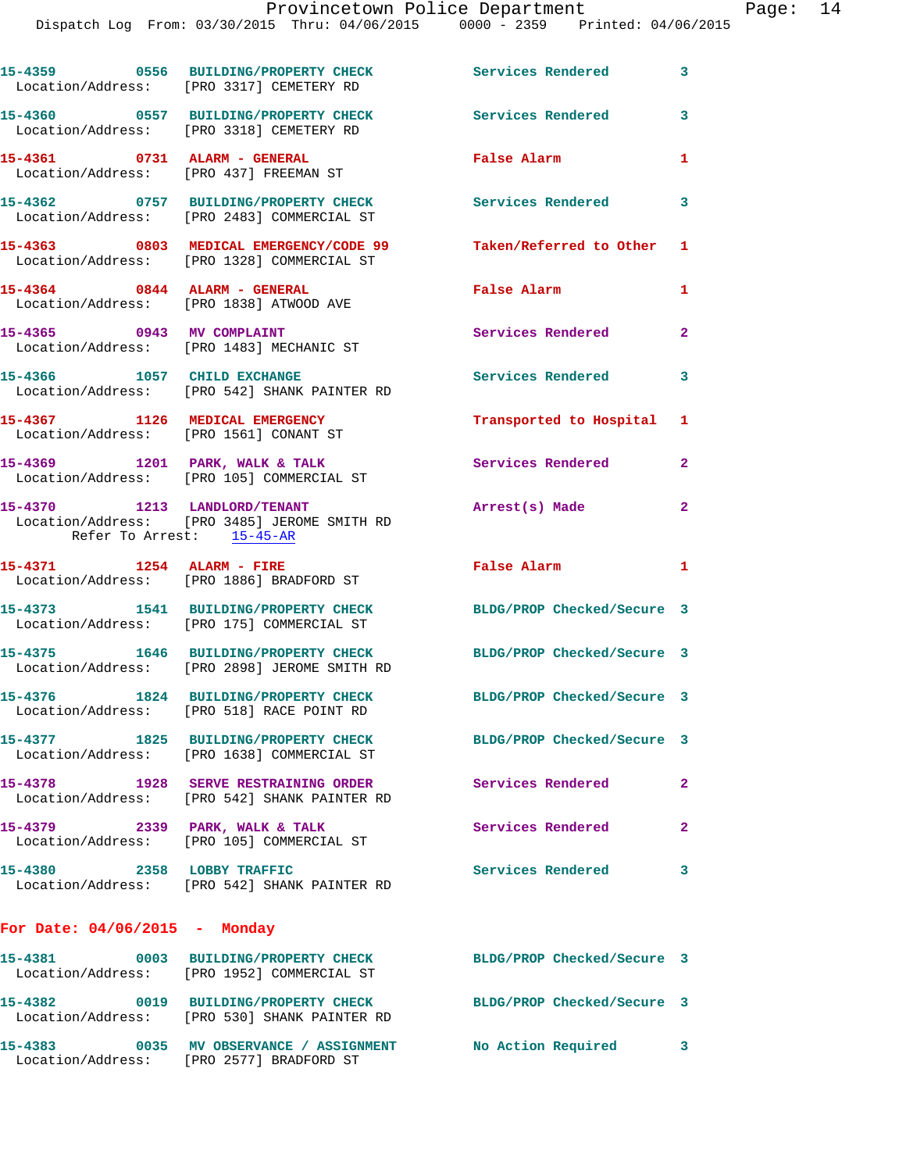|                                                                        | 15-4359 0556 BUILDING/PROPERTY CHECK<br>Location/Address: [PRO 3317] CEMETERY RD                              | <b>Services Rendered</b>             | $\overline{\mathbf{3}}$ |
|------------------------------------------------------------------------|---------------------------------------------------------------------------------------------------------------|--------------------------------------|-------------------------|
|                                                                        | 15-4360 0557 BUILDING/PROPERTY CHECK<br>Location/Address: [PRO 3318] CEMETERY RD                              | <b>Services Rendered</b>             | 3                       |
| 15-4361 0731 ALARM - GENERAL<br>Location/Address: [PRO 437] FREEMAN ST |                                                                                                               | False Alarm                          | $\mathbf{1}$            |
|                                                                        | 15-4362 0757 BUILDING/PROPERTY CHECK<br>Location/Address: [PRO 2483] COMMERCIAL ST                            | <b>Services Rendered</b><br>$\sim$ 3 |                         |
|                                                                        | 15-4363 0803 MEDICAL EMERGENCY/CODE 99<br>Location/Address: [PRO 1328] COMMERCIAL ST                          | Taken/Referred to Other 1            |                         |
| 15-4364 0844 ALARM - GENERAL                                           | Location/Address: [PRO 1838] ATWOOD AVE                                                                       | False Alarm                          | $\mathbf{1}$            |
|                                                                        | 15-4365 0943 MV COMPLAINT<br>Location/Address: [PRO 1483] MECHANIC ST                                         | <b>Services Rendered</b>             | $\mathbf{2}$            |
| 15-4366 1057 CHILD EXCHANGE                                            | Location/Address: [PRO 542] SHANK PAINTER RD                                                                  | Services Rendered                    | 3                       |
| Location/Address: [PRO 1561] CONANT ST                                 | 15-4367 1126 MEDICAL EMERGENCY                                                                                | Transported to Hospital 1            |                         |
|                                                                        | 15-4369 1201 PARK, WALK & TALK<br>Location/Address: [PRO 105] COMMERCIAL ST                                   | Services Rendered                    | $\mathbf{2}$            |
|                                                                        | 15-4370 1213 LANDLORD/TENANT<br>Location/Address: [PRO 3485] JEROME SMITH RD<br>Refer To Arrest: 15-45-AR     | Arrest(s) Made                       | $\mathbf{2}$            |
|                                                                        |                                                                                                               |                                      |                         |
| 15-4371 1254 ALARM - FIRE                                              | Location/Address: [PRO 1886] BRADFORD ST                                                                      | False Alarm                          | $\mathbf{1}$            |
|                                                                        | 15-4373 1541 BUILDING/PROPERTY CHECK<br>Location/Address: [PRO 175] COMMERCIAL ST                             | BLDG/PROP Checked/Secure 3           |                         |
|                                                                        | 15-4375 1646 BUILDING/PROPERTY CHECK<br>Location/Address: [PRO 2898] JEROME SMITH RD                          | BLDG/PROP Checked/Secure 3           |                         |
| 15-4376                                                                | 1824 BUILDING/PROPERTY CHECK<br>Location/Address: [PRO 518] RACE POINT RD                                     | BLDG/PROP Checked/Secure 3           |                         |
|                                                                        | 15-4377 1825 BUILDING/PROPERTY CHECK BLDG/PROP Checked/Secure 3<br>Location/Address: [PRO 1638] COMMERCIAL ST |                                      |                         |
|                                                                        | 15-4378 1928 SERVE RESTRAINING ORDER<br>Location/Address: [PRO 542] SHANK PAINTER RD                          | <b>Services Rendered</b>             | $\mathbf{2}$            |
| 15-4379 2339 PARK, WALK & TALK                                         | Location/Address: [PRO 105] COMMERCIAL ST                                                                     | Services Rendered                    | $\overline{2}$          |
| 15-4380 2358 LOBBY TRAFFIC                                             | Location/Address: [PRO 542] SHANK PAINTER RD                                                                  | Services Rendered 3                  |                         |
| For Date: $04/06/2015$ - Monday                                        |                                                                                                               |                                      |                         |
|                                                                        | 15-4381 0003 BUILDING/PROPERTY CHECK<br>Location/Address: [PRO 1952] COMMERCIAL ST                            | BLDG/PROP Checked/Secure 3           |                         |
|                                                                        | 15-4382 0019 BUILDING/PROPERTY CHECK<br>Location/Address: [PRO 530] SHANK PAINTER RD                          | BLDG/PROP Checked/Secure 3           |                         |

Location/Address: [PRO 2577] BRADFORD ST